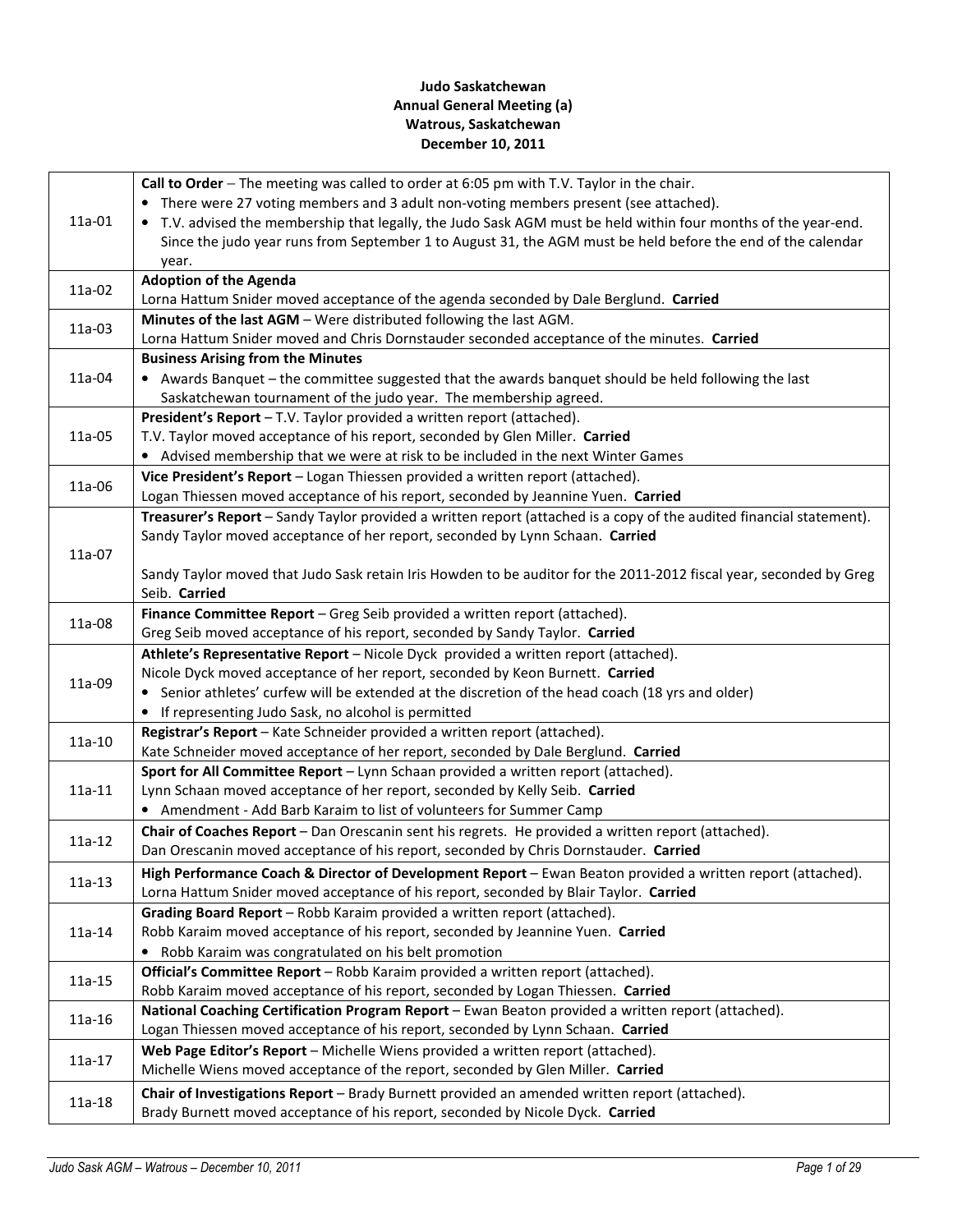# Judo Saskatchewan Annual General Meeting (a) Watrous, Saskatchewan December 10, 2011

|          | Call to Order - The meeting was called to order at 6:05 pm with T.V. Taylor in the chair.                                       |  |  |  |  |
|----------|---------------------------------------------------------------------------------------------------------------------------------|--|--|--|--|
| 11a-01   | • There were 27 voting members and 3 adult non-voting members present (see attached).                                           |  |  |  |  |
|          | T.V. advised the membership that legally, the Judo Sask AGM must be held within four months of the year-end.                    |  |  |  |  |
|          | Since the judo year runs from September 1 to August 31, the AGM must be held before the end of the calendar                     |  |  |  |  |
|          | year.                                                                                                                           |  |  |  |  |
| 11a-02   | <b>Adoption of the Agenda</b>                                                                                                   |  |  |  |  |
|          | Lorna Hattum Snider moved acceptance of the agenda seconded by Dale Berglund. Carried                                           |  |  |  |  |
| 11a-03   | Minutes of the last AGM - Were distributed following the last AGM.                                                              |  |  |  |  |
|          | Lorna Hattum Snider moved and Chris Dornstauder seconded acceptance of the minutes. Carried                                     |  |  |  |  |
|          | <b>Business Arising from the Minutes</b>                                                                                        |  |  |  |  |
| 11a-04   | • Awards Banquet - the committee suggested that the awards banquet should be held following the last                            |  |  |  |  |
|          | Saskatchewan tournament of the judo year. The membership agreed.                                                                |  |  |  |  |
|          | President's Report - T.V. Taylor provided a written report (attached).                                                          |  |  |  |  |
| 11a-05   | T.V. Taylor moved acceptance of his report, seconded by Glen Miller. Carried                                                    |  |  |  |  |
|          | • Advised membership that we were at risk to be included in the next Winter Games                                               |  |  |  |  |
| 11a-06   | Vice President's Report - Logan Thiessen provided a written report (attached).                                                  |  |  |  |  |
|          | Logan Thiessen moved acceptance of his report, seconded by Jeannine Yuen. Carried                                               |  |  |  |  |
|          | Treasurer's Report - Sandy Taylor provided a written report (attached is a copy of the audited financial statement).            |  |  |  |  |
|          | Sandy Taylor moved acceptance of her report, seconded by Lynn Schaan. Carried                                                   |  |  |  |  |
| 11a-07   |                                                                                                                                 |  |  |  |  |
|          | Sandy Taylor moved that Judo Sask retain Iris Howden to be auditor for the 2011-2012 fiscal year, seconded by Greg              |  |  |  |  |
|          | Seib. Carried                                                                                                                   |  |  |  |  |
| 11a-08   | Finance Committee Report - Greg Seib provided a written report (attached).                                                      |  |  |  |  |
|          | Greg Seib moved acceptance of his report, seconded by Sandy Taylor. Carried                                                     |  |  |  |  |
|          | Athlete's Representative Report - Nicole Dyck provided a written report (attached).                                             |  |  |  |  |
| 11a-09   | Nicole Dyck moved acceptance of her report, seconded by Keon Burnett. Carried                                                   |  |  |  |  |
|          | • Senior athletes' curfew will be extended at the discretion of the head coach (18 yrs and older)                               |  |  |  |  |
|          | If representing Judo Sask, no alcohol is permitted<br>Registrar's Report - Kate Schneider provided a written report (attached). |  |  |  |  |
| $11a-10$ | Kate Schneider moved acceptance of her report, seconded by Dale Berglund. Carried                                               |  |  |  |  |
|          | Sport for All Committee Report - Lynn Schaan provided a written report (attached).                                              |  |  |  |  |
| $11a-11$ | Lynn Schaan moved acceptance of her report, seconded by Kelly Seib. Carried                                                     |  |  |  |  |
|          | • Amendment - Add Barb Karaim to list of volunteers for Summer Camp                                                             |  |  |  |  |
|          | Chair of Coaches Report - Dan Orescanin sent his regrets. He provided a written report (attached).                              |  |  |  |  |
| $11a-12$ | Dan Orescanin moved acceptance of his report, seconded by Chris Dornstauder. Carried                                            |  |  |  |  |
|          | High Performance Coach & Director of Development Report - Ewan Beaton provided a written report (attached).                     |  |  |  |  |
| $11a-13$ | Lorna Hattum Snider moved acceptance of his report, seconded by Blair Taylor. Carried                                           |  |  |  |  |
|          | Grading Board Report - Robb Karaim provided a written report (attached).                                                        |  |  |  |  |
| $11a-14$ | Robb Karaim moved acceptance of his report, seconded by Jeannine Yuen. Carried                                                  |  |  |  |  |
|          | Robb Karaim was congratulated on his belt promotion<br>$\bullet$                                                                |  |  |  |  |
|          | Official's Committee Report - Robb Karaim provided a written report (attached).                                                 |  |  |  |  |
| 11a-15   | Robb Karaim moved acceptance of his report, seconded by Logan Thiessen. Carried                                                 |  |  |  |  |
|          | National Coaching Certification Program Report - Ewan Beaton provided a written report (attached).                              |  |  |  |  |
| 11a-16   | Logan Thiessen moved acceptance of his report, seconded by Lynn Schaan. Carried                                                 |  |  |  |  |
|          | Web Page Editor's Report - Michelle Wiens provided a written report (attached).                                                 |  |  |  |  |
| 11a-17   | Michelle Wiens moved acceptance of the report, seconded by Glen Miller. Carried                                                 |  |  |  |  |
|          | Chair of Investigations Report - Brady Burnett provided an amended written report (attached).                                   |  |  |  |  |
| 11a-18   | Brady Burnett moved acceptance of his report, seconded by Nicole Dyck. Carried                                                  |  |  |  |  |
|          |                                                                                                                                 |  |  |  |  |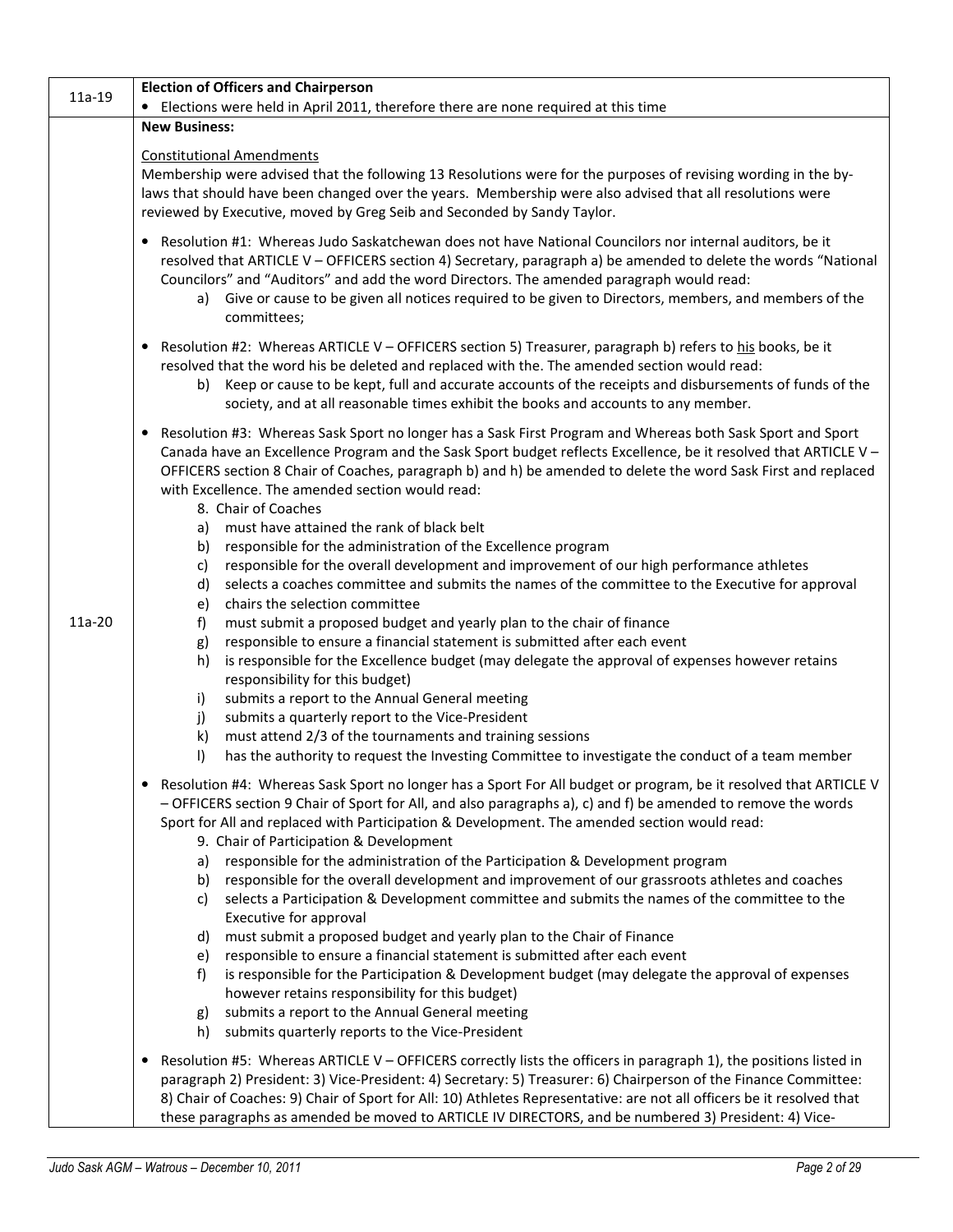| 11a-19   | <b>Election of Officers and Chairperson</b>                                                                                                                                                                                                                                                                                                                                                                                                                                        |  |  |  |  |  |
|----------|------------------------------------------------------------------------------------------------------------------------------------------------------------------------------------------------------------------------------------------------------------------------------------------------------------------------------------------------------------------------------------------------------------------------------------------------------------------------------------|--|--|--|--|--|
|          | • Elections were held in April 2011, therefore there are none required at this time                                                                                                                                                                                                                                                                                                                                                                                                |  |  |  |  |  |
|          | <b>New Business:</b>                                                                                                                                                                                                                                                                                                                                                                                                                                                               |  |  |  |  |  |
|          | <b>Constitutional Amendments</b>                                                                                                                                                                                                                                                                                                                                                                                                                                                   |  |  |  |  |  |
|          | Membership were advised that the following 13 Resolutions were for the purposes of revising wording in the by-<br>laws that should have been changed over the years. Membership were also advised that all resolutions were<br>reviewed by Executive, moved by Greg Seib and Seconded by Sandy Taylor.                                                                                                                                                                             |  |  |  |  |  |
|          | • Resolution #1: Whereas Judo Saskatchewan does not have National Councilors nor internal auditors, be it<br>resolved that ARTICLE V - OFFICERS section 4) Secretary, paragraph a) be amended to delete the words "National<br>Councilors" and "Auditors" and add the word Directors. The amended paragraph would read:<br>a) Give or cause to be given all notices required to be given to Directors, members, and members of the<br>committees;                                  |  |  |  |  |  |
|          | • Resolution #2: Whereas ARTICLE V - OFFICERS section 5) Treasurer, paragraph b) refers to his books, be it<br>resolved that the word his be deleted and replaced with the. The amended section would read:<br>b) Keep or cause to be kept, full and accurate accounts of the receipts and disbursements of funds of the<br>society, and at all reasonable times exhibit the books and accounts to any member.                                                                     |  |  |  |  |  |
|          | • Resolution #3: Whereas Sask Sport no longer has a Sask First Program and Whereas both Sask Sport and Sport<br>Canada have an Excellence Program and the Sask Sport budget reflects Excellence, be it resolved that ARTICLE V -<br>OFFICERS section 8 Chair of Coaches, paragraph b) and h) be amended to delete the word Sask First and replaced<br>with Excellence. The amended section would read:<br>8. Chair of Coaches                                                      |  |  |  |  |  |
|          | a) must have attained the rank of black belt<br>b) responsible for the administration of the Excellence program<br>responsible for the overall development and improvement of our high performance athletes<br>c)<br>selects a coaches committee and submits the names of the committee to the Executive for approval<br>d)<br>chairs the selection committee<br>e)                                                                                                                |  |  |  |  |  |
| $11a-20$ | must submit a proposed budget and yearly plan to the chair of finance<br>f)<br>responsible to ensure a financial statement is submitted after each event<br>g)<br>is responsible for the Excellence budget (may delegate the approval of expenses however retains<br>h)                                                                                                                                                                                                            |  |  |  |  |  |
|          | responsibility for this budget)<br>submits a report to the Annual General meeting<br>i)                                                                                                                                                                                                                                                                                                                                                                                            |  |  |  |  |  |
|          | submits a quarterly report to the Vice-President<br>j)<br>$\mathsf{k}$<br>must attend 2/3 of the tournaments and training sessions                                                                                                                                                                                                                                                                                                                                                 |  |  |  |  |  |
|          | $\vert$<br>has the authority to request the Investing Committee to investigate the conduct of a team member                                                                                                                                                                                                                                                                                                                                                                        |  |  |  |  |  |
|          | Resolution #4: Whereas Sask Sport no longer has a Sport For All budget or program, be it resolved that ARTICLE V<br>- OFFICERS section 9 Chair of Sport for All, and also paragraphs a), c) and f) be amended to remove the words<br>Sport for All and replaced with Participation & Development. The amended section would read:<br>9. Chair of Participation & Development                                                                                                       |  |  |  |  |  |
|          | responsible for the administration of the Participation & Development program<br>a)                                                                                                                                                                                                                                                                                                                                                                                                |  |  |  |  |  |
|          | b) responsible for the overall development and improvement of our grassroots athletes and coaches                                                                                                                                                                                                                                                                                                                                                                                  |  |  |  |  |  |
|          | selects a Participation & Development committee and submits the names of the committee to the<br>C)                                                                                                                                                                                                                                                                                                                                                                                |  |  |  |  |  |
|          | Executive for approval                                                                                                                                                                                                                                                                                                                                                                                                                                                             |  |  |  |  |  |
|          | must submit a proposed budget and yearly plan to the Chair of Finance<br>d)<br>responsible to ensure a financial statement is submitted after each event<br>e)                                                                                                                                                                                                                                                                                                                     |  |  |  |  |  |
|          | is responsible for the Participation & Development budget (may delegate the approval of expenses<br>f)                                                                                                                                                                                                                                                                                                                                                                             |  |  |  |  |  |
|          | however retains responsibility for this budget)<br>submits a report to the Annual General meeting                                                                                                                                                                                                                                                                                                                                                                                  |  |  |  |  |  |
|          | g)<br>submits quarterly reports to the Vice-President<br>h)                                                                                                                                                                                                                                                                                                                                                                                                                        |  |  |  |  |  |
|          | Resolution #5: Whereas ARTICLE V - OFFICERS correctly lists the officers in paragraph 1), the positions listed in<br>$\bullet$<br>paragraph 2) President: 3) Vice-President: 4) Secretary: 5) Treasurer: 6) Chairperson of the Finance Committee:<br>8) Chair of Coaches: 9) Chair of Sport for All: 10) Athletes Representative: are not all officers be it resolved that<br>these paragraphs as amended be moved to ARTICLE IV DIRECTORS, and be numbered 3) President: 4) Vice- |  |  |  |  |  |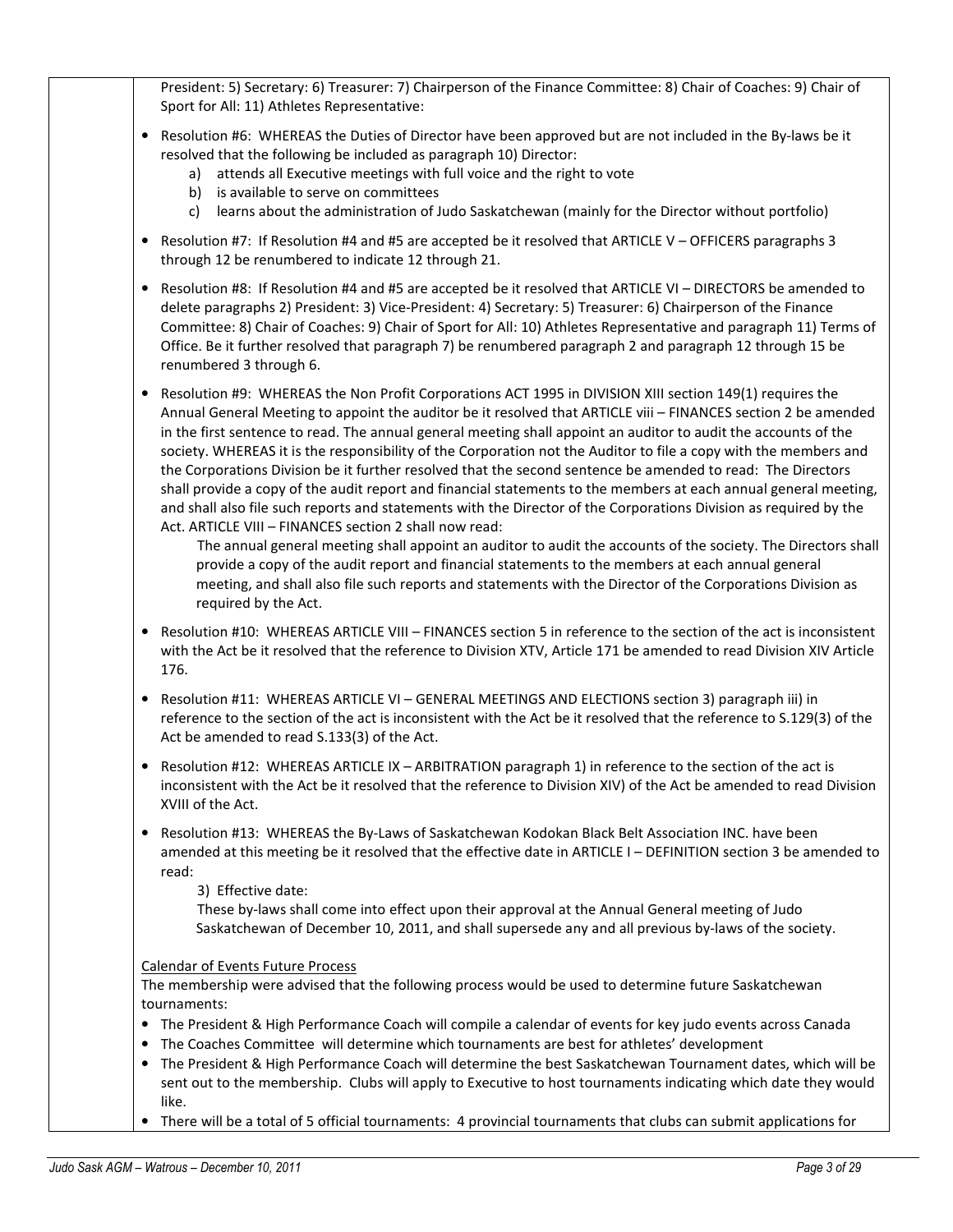| President: 5) Secretary: 6) Treasurer: 7) Chairperson of the Finance Committee: 8) Chair of Coaches: 9) Chair of<br>Sport for All: 11) Athletes Representative:                                                                                                                                                                                                                                                                                                                                                                                                                                                                                                                                                                                                                                                                                                                                                                                                                                                                                                                                                                                                                                                                                 |
|-------------------------------------------------------------------------------------------------------------------------------------------------------------------------------------------------------------------------------------------------------------------------------------------------------------------------------------------------------------------------------------------------------------------------------------------------------------------------------------------------------------------------------------------------------------------------------------------------------------------------------------------------------------------------------------------------------------------------------------------------------------------------------------------------------------------------------------------------------------------------------------------------------------------------------------------------------------------------------------------------------------------------------------------------------------------------------------------------------------------------------------------------------------------------------------------------------------------------------------------------|
| Resolution #6: WHEREAS the Duties of Director have been approved but are not included in the By-laws be it<br>٠<br>resolved that the following be included as paragraph 10) Director:<br>attends all Executive meetings with full voice and the right to vote<br>a)<br>is available to serve on committees<br>b)<br>learns about the administration of Judo Saskatchewan (mainly for the Director without portfolio)<br>c)                                                                                                                                                                                                                                                                                                                                                                                                                                                                                                                                                                                                                                                                                                                                                                                                                      |
| Resolution #7: If Resolution #4 and #5 are accepted be it resolved that ARTICLE V - OFFICERS paragraphs 3<br>٠<br>through 12 be renumbered to indicate 12 through 21.                                                                                                                                                                                                                                                                                                                                                                                                                                                                                                                                                                                                                                                                                                                                                                                                                                                                                                                                                                                                                                                                           |
| Resolution #8: If Resolution #4 and #5 are accepted be it resolved that ARTICLE VI - DIRECTORS be amended to<br>delete paragraphs 2) President: 3) Vice-President: 4) Secretary: 5) Treasurer: 6) Chairperson of the Finance<br>Committee: 8) Chair of Coaches: 9) Chair of Sport for All: 10) Athletes Representative and paragraph 11) Terms of<br>Office. Be it further resolved that paragraph 7) be renumbered paragraph 2 and paragraph 12 through 15 be<br>renumbered 3 through 6.                                                                                                                                                                                                                                                                                                                                                                                                                                                                                                                                                                                                                                                                                                                                                       |
| Resolution #9: WHEREAS the Non Profit Corporations ACT 1995 in DIVISION XIII section 149(1) requires the<br>Annual General Meeting to appoint the auditor be it resolved that ARTICLE viii - FINANCES section 2 be amended<br>in the first sentence to read. The annual general meeting shall appoint an auditor to audit the accounts of the<br>society. WHEREAS it is the responsibility of the Corporation not the Auditor to file a copy with the members and<br>the Corporations Division be it further resolved that the second sentence be amended to read: The Directors<br>shall provide a copy of the audit report and financial statements to the members at each annual general meeting,<br>and shall also file such reports and statements with the Director of the Corporations Division as required by the<br>Act. ARTICLE VIII - FINANCES section 2 shall now read:<br>The annual general meeting shall appoint an auditor to audit the accounts of the society. The Directors shall<br>provide a copy of the audit report and financial statements to the members at each annual general<br>meeting, and shall also file such reports and statements with the Director of the Corporations Division as<br>required by the Act. |
| Resolution #10: WHEREAS ARTICLE VIII - FINANCES section 5 in reference to the section of the act is inconsistent<br>٠<br>with the Act be it resolved that the reference to Division XTV, Article 171 be amended to read Division XIV Article<br>176.                                                                                                                                                                                                                                                                                                                                                                                                                                                                                                                                                                                                                                                                                                                                                                                                                                                                                                                                                                                            |
| Resolution #11: WHEREAS ARTICLE VI - GENERAL MEETINGS AND ELECTIONS section 3) paragraph iii) in<br>٠<br>reference to the section of the act is inconsistent with the Act be it resolved that the reference to S.129(3) of the<br>Act be amended to read S.133(3) of the Act.                                                                                                                                                                                                                                                                                                                                                                                                                                                                                                                                                                                                                                                                                                                                                                                                                                                                                                                                                                   |
| • Resolution #12: WHEREAS ARTICLE IX - ARBITRATION paragraph 1) in reference to the section of the act is<br>inconsistent with the Act be it resolved that the reference to Division XIV) of the Act be amended to read Division<br>XVIII of the Act.                                                                                                                                                                                                                                                                                                                                                                                                                                                                                                                                                                                                                                                                                                                                                                                                                                                                                                                                                                                           |
| Resolution #13: WHEREAS the By-Laws of Saskatchewan Kodokan Black Belt Association INC. have been<br>٠<br>amended at this meeting be it resolved that the effective date in ARTICLE I - DEFINITION section 3 be amended to<br>read:<br>3) Effective date:<br>These by-laws shall come into effect upon their approval at the Annual General meeting of Judo<br>Saskatchewan of December 10, 2011, and shall supersede any and all previous by-laws of the society.                                                                                                                                                                                                                                                                                                                                                                                                                                                                                                                                                                                                                                                                                                                                                                              |
| <b>Calendar of Events Future Process</b><br>The membership were advised that the following process would be used to determine future Saskatchewan<br>tournaments:<br>The President & High Performance Coach will compile a calendar of events for key judo events across Canada<br>٠<br>The Coaches Committee will determine which tournaments are best for athletes' development<br>٠<br>The President & High Performance Coach will determine the best Saskatchewan Tournament dates, which will be<br>sent out to the membership. Clubs will apply to Executive to host tournaments indicating which date they would                                                                                                                                                                                                                                                                                                                                                                                                                                                                                                                                                                                                                         |
| like.<br>There will be a total of 5 official tournaments: 4 provincial tournaments that clubs can submit applications for                                                                                                                                                                                                                                                                                                                                                                                                                                                                                                                                                                                                                                                                                                                                                                                                                                                                                                                                                                                                                                                                                                                       |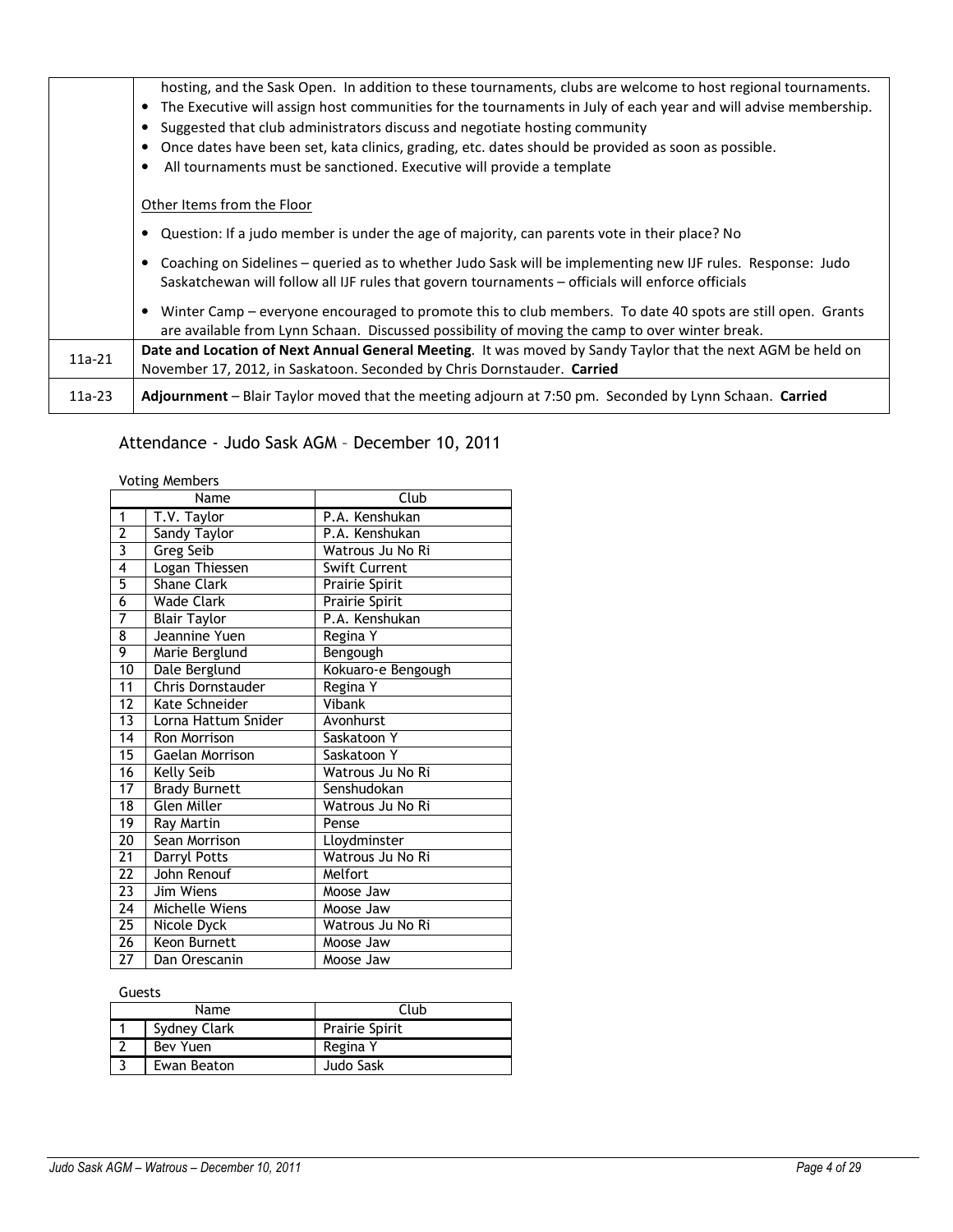|          | hosting, and the Sask Open. In addition to these tournaments, clubs are welcome to host regional tournaments.<br>• The Executive will assign host communities for the tournaments in July of each year and will advise membership.<br>Suggested that club administrators discuss and negotiate hosting community<br>Once dates have been set, kata clinics, grading, etc. dates should be provided as soon as possible.<br>All tournaments must be sanctioned. Executive will provide a template |
|----------|--------------------------------------------------------------------------------------------------------------------------------------------------------------------------------------------------------------------------------------------------------------------------------------------------------------------------------------------------------------------------------------------------------------------------------------------------------------------------------------------------|
|          | Other Items from the Floor                                                                                                                                                                                                                                                                                                                                                                                                                                                                       |
|          | Question: If a judo member is under the age of majority, can parents vote in their place? No                                                                                                                                                                                                                                                                                                                                                                                                     |
|          | Coaching on Sidelines – queried as to whether Judo Sask will be implementing new IJF rules. Response: Judo<br>Saskatchewan will follow all IJF rules that govern tournaments - officials will enforce officials                                                                                                                                                                                                                                                                                  |
|          | Winter Camp - everyone encouraged to promote this to club members. To date 40 spots are still open. Grants<br>are available from Lynn Schaan. Discussed possibility of moving the camp to over winter break.                                                                                                                                                                                                                                                                                     |
| $11a-21$ | Date and Location of Next Annual General Meeting. It was moved by Sandy Taylor that the next AGM be held on<br>November 17, 2012, in Saskatoon. Seconded by Chris Dornstauder. Carried                                                                                                                                                                                                                                                                                                           |
| $11a-23$ | Adjournment - Blair Taylor moved that the meeting adjourn at 7:50 pm. Seconded by Lynn Schaan. Carried                                                                                                                                                                                                                                                                                                                                                                                           |

# Attendance - Judo Sask AGM – December 10, 2011

Voting Members

| Name            |                      | Club                 |  |  |
|-----------------|----------------------|----------------------|--|--|
| 1               | T.V. Taylor          | P.A. Kenshukan       |  |  |
| $\overline{2}$  | <b>Sandy Taylor</b>  | P.A. Kenshukan       |  |  |
| 3               | <b>Greg Seib</b>     | Watrous Ju No Ri     |  |  |
| $\overline{4}$  | Logan Thiessen       | <b>Swift Current</b> |  |  |
| 5               | Shane Clark          | Prairie Spirit       |  |  |
| $\overline{6}$  | <b>Wade Clark</b>    | Prairie Spirit       |  |  |
| 7               | <b>Blair Taylor</b>  | P.A. Kenshukan       |  |  |
| 8               | Jeannine Yuen        | Regina Y             |  |  |
| 9               | Marie Berglund       | Bengough             |  |  |
| $\overline{10}$ | Dale Berglund        | Kokuaro-e Bengough   |  |  |
| 11              | Chris Dornstauder    | Regina Y             |  |  |
| $\overline{12}$ | Kate Schneider       | Vibank               |  |  |
| 13              | Lorna Hattum Snider  | Avonhurst            |  |  |
| 14              | Ron Morrison         | Saskatoon Y          |  |  |
| 15              | Gaelan Morrison      | Saskatoon Y          |  |  |
| 16              | Kelly Seib           | Watrous Ju No Ri     |  |  |
| $\overline{17}$ | <b>Brady Burnett</b> | Senshudokan          |  |  |
| 18              | <b>Glen Miller</b>   | Watrous Ju No Ri     |  |  |
| $\overline{19}$ | Ray Martin           | Pense                |  |  |
| 20              | Sean Morrison        | Lloydminster         |  |  |
| 21              | Darryl Potts         | Watrous Ju No Ri     |  |  |
| 22              | John Renouf          | Melfort              |  |  |
| $\overline{23}$ | Jim Wiens            | Moose Jaw            |  |  |
| $\overline{24}$ | Michelle Wiens       | Moose Jaw            |  |  |
| 25              | Nicole Dyck          | Watrous Ju No Ri     |  |  |
| $\overline{26}$ | Keon Burnett         | Moose Jaw            |  |  |
| 27              | Dan Orescanin        | Moose Jaw            |  |  |

Guests

| Name |              | Club                  |
|------|--------------|-----------------------|
|      | Sydney Clark | <b>Prairie Spirit</b> |
|      | Bev Yuen     | Regina Y              |
|      | Ewan Beaton  | Judo Sask             |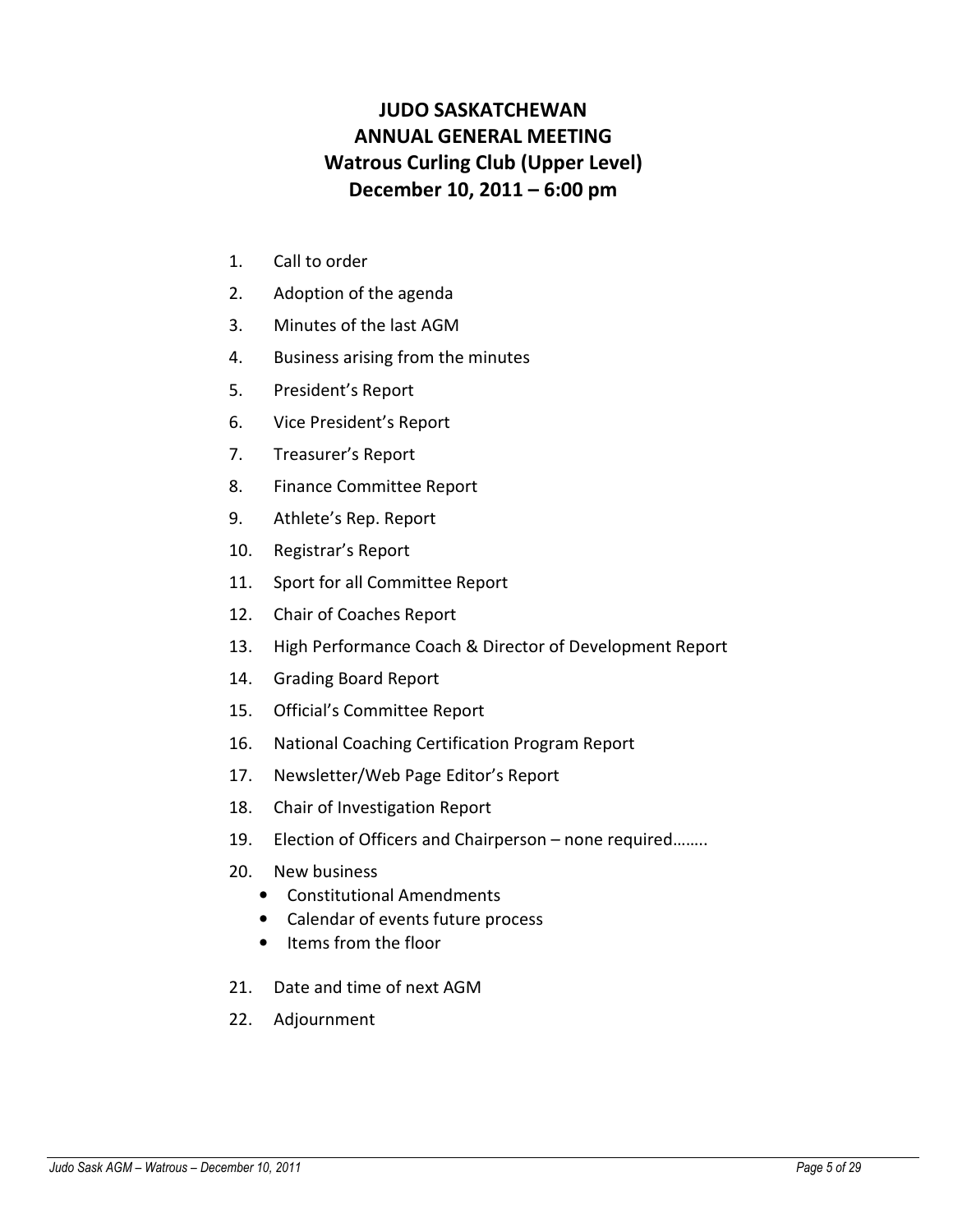# JUDO SASKATCHEWAN ANNUAL GENERAL MEETING Watrous Curling Club (Upper Level) December 10, 2011 – 6:00 pm

- 1. Call to order
- 2. Adoption of the agenda
- 3. Minutes of the last AGM
- 4. Business arising from the minutes
- 5. President's Report
- 6. Vice President's Report
- 7. Treasurer's Report
- 8. Finance Committee Report
- 9. Athlete's Rep. Report
- 10. Registrar's Report
- 11. Sport for all Committee Report
- 12. Chair of Coaches Report
- 13. High Performance Coach & Director of Development Report
- 14. Grading Board Report
- 15. Official's Committee Report
- 16. National Coaching Certification Program Report
- 17. Newsletter/Web Page Editor's Report
- 18. Chair of Investigation Report
- 19. Election of Officers and Chairperson none required……..
- 20. New business
	- Constitutional Amendments
	- Calendar of events future process
	- Items from the floor
- 21. Date and time of next AGM
- 22. Adjournment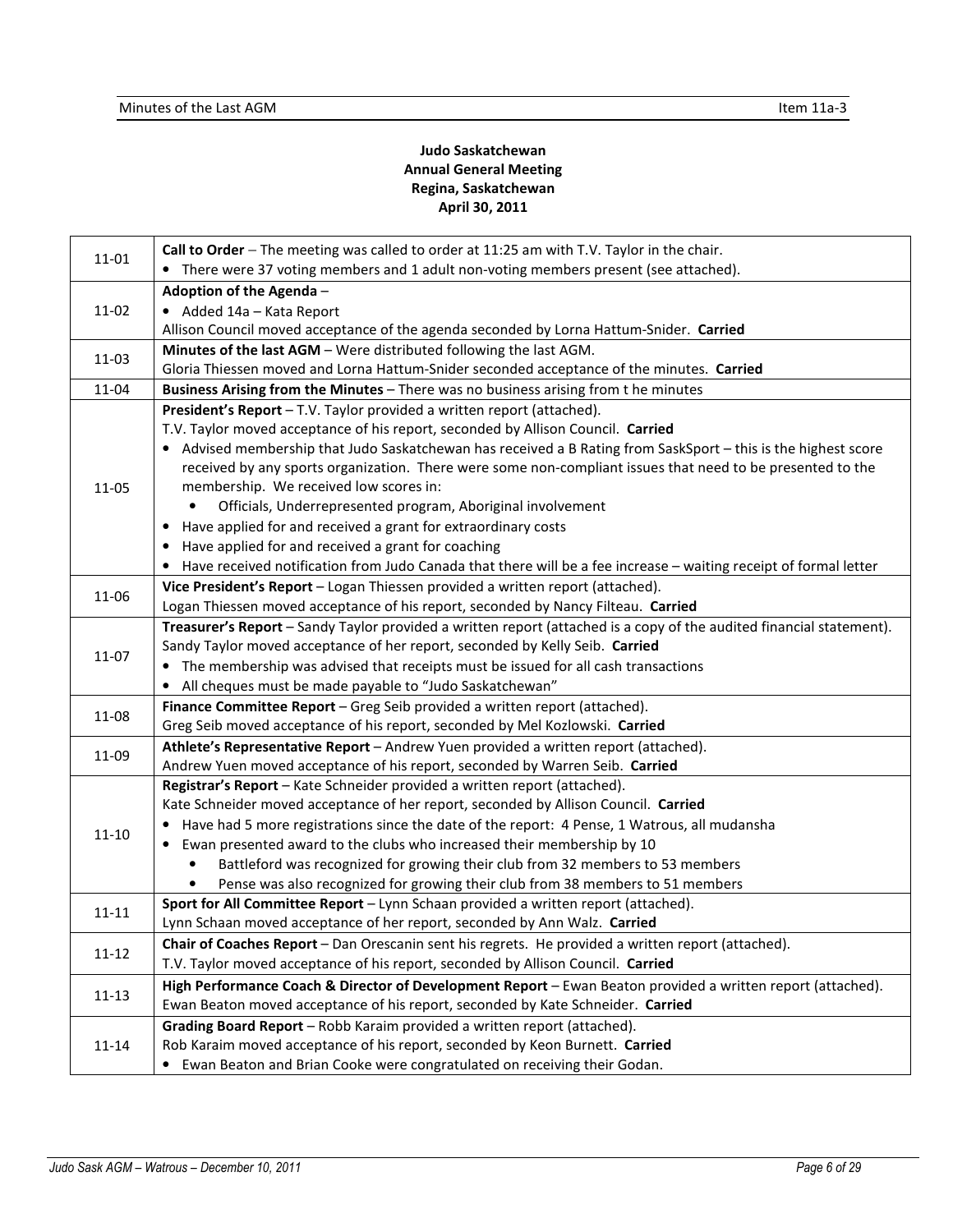# Judo Saskatchewan Annual General Meeting Regina, Saskatchewan April 30, 2011

| 11-01     | Call to Order - The meeting was called to order at 11:25 am with T.V. Taylor in the chair.                                                                    |
|-----------|---------------------------------------------------------------------------------------------------------------------------------------------------------------|
|           | • There were 37 voting members and 1 adult non-voting members present (see attached).                                                                         |
| 11-02     | Adoption of the Agenda -                                                                                                                                      |
|           | • Added 14a - Kata Report                                                                                                                                     |
|           | Allison Council moved acceptance of the agenda seconded by Lorna Hattum-Snider. Carried<br>Minutes of the last AGM - Were distributed following the last AGM. |
| 11-03     | Gloria Thiessen moved and Lorna Hattum-Snider seconded acceptance of the minutes. Carried                                                                     |
| 11-04     | Business Arising from the Minutes - There was no business arising from the minutes                                                                            |
|           | President's Report - T.V. Taylor provided a written report (attached).                                                                                        |
|           | T.V. Taylor moved acceptance of his report, seconded by Allison Council. Carried                                                                              |
|           | • Advised membership that Judo Saskatchewan has received a B Rating from SaskSport - this is the highest score                                                |
|           | received by any sports organization. There were some non-compliant issues that need to be presented to the                                                    |
| 11-05     | membership. We received low scores in:                                                                                                                        |
|           | Officials, Underrepresented program, Aboriginal involvement                                                                                                   |
|           | • Have applied for and received a grant for extraordinary costs                                                                                               |
|           | Have applied for and received a grant for coaching                                                                                                            |
|           | Have received notification from Judo Canada that there will be a fee increase - waiting receipt of formal letter                                              |
|           | Vice President's Report - Logan Thiessen provided a written report (attached).                                                                                |
| 11-06     | Logan Thiessen moved acceptance of his report, seconded by Nancy Filteau. Carried                                                                             |
|           | Treasurer's Report - Sandy Taylor provided a written report (attached is a copy of the audited financial statement).                                          |
|           | Sandy Taylor moved acceptance of her report, seconded by Kelly Seib. Carried                                                                                  |
| 11-07     | • The membership was advised that receipts must be issued for all cash transactions                                                                           |
|           | • All cheques must be made payable to "Judo Saskatchewan"                                                                                                     |
|           | Finance Committee Report - Greg Seib provided a written report (attached).                                                                                    |
| 11-08     | Greg Seib moved acceptance of his report, seconded by Mel Kozlowski. Carried                                                                                  |
| 11-09     | Athlete's Representative Report - Andrew Yuen provided a written report (attached).                                                                           |
|           | Andrew Yuen moved acceptance of his report, seconded by Warren Seib. Carried                                                                                  |
|           | Registrar's Report - Kate Schneider provided a written report (attached).                                                                                     |
|           | Kate Schneider moved acceptance of her report, seconded by Allison Council. Carried                                                                           |
| $11 - 10$ | • Have had 5 more registrations since the date of the report: 4 Pense, 1 Watrous, all mudansha                                                                |
|           | • Ewan presented award to the clubs who increased their membership by 10                                                                                      |
|           | Battleford was recognized for growing their club from 32 members to 53 members<br>$\bullet$                                                                   |
|           | Pense was also recognized for growing their club from 38 members to 51 members                                                                                |
| $11 - 11$ | Sport for All Committee Report - Lynn Schaan provided a written report (attached).                                                                            |
|           | Lynn Schaan moved acceptance of her report, seconded by Ann Walz. Carried                                                                                     |
| $11 - 12$ | Chair of Coaches Report - Dan Orescanin sent his regrets. He provided a written report (attached).                                                            |
|           | T.V. Taylor moved acceptance of his report, seconded by Allison Council. Carried                                                                              |
| $11 - 13$ | High Performance Coach & Director of Development Report - Ewan Beaton provided a written report (attached).                                                   |
|           | Ewan Beaton moved acceptance of his report, seconded by Kate Schneider. Carried                                                                               |
|           | Grading Board Report - Robb Karaim provided a written report (attached).                                                                                      |
| $11 - 14$ | Rob Karaim moved acceptance of his report, seconded by Keon Burnett. Carried                                                                                  |
|           | • Ewan Beaton and Brian Cooke were congratulated on receiving their Godan.                                                                                    |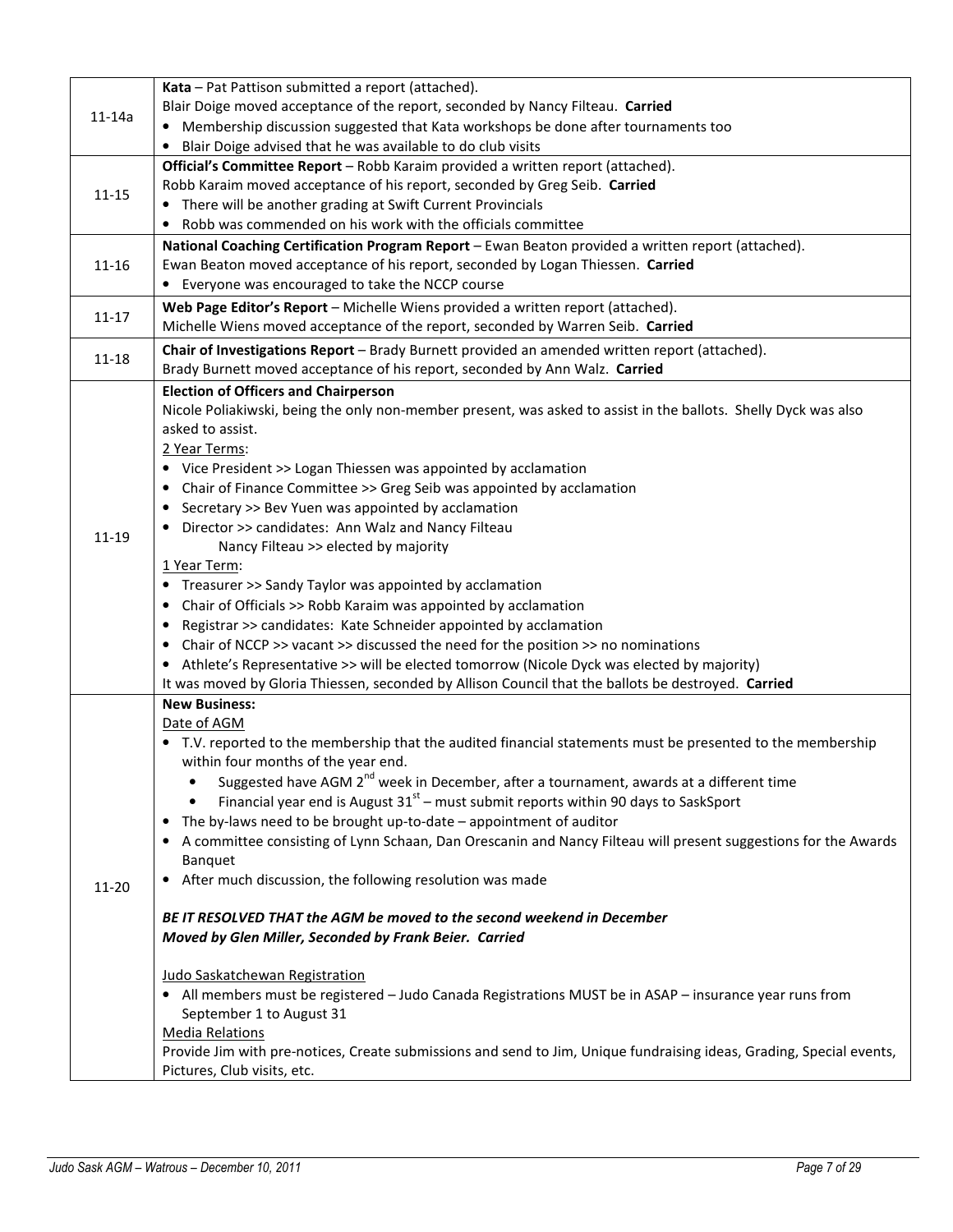|           | Kata - Pat Pattison submitted a report (attached).                                                                   |
|-----------|----------------------------------------------------------------------------------------------------------------------|
|           | Blair Doige moved acceptance of the report, seconded by Nancy Filteau. Carried                                       |
| $11-14a$  | • Membership discussion suggested that Kata workshops be done after tournaments too                                  |
|           | • Blair Doige advised that he was available to do club visits                                                        |
|           | Official's Committee Report - Robb Karaim provided a written report (attached).                                      |
| $11 - 15$ | Robb Karaim moved acceptance of his report, seconded by Greg Seib. Carried                                           |
|           | • There will be another grading at Swift Current Provincials                                                         |
|           | Robb was commended on his work with the officials committee                                                          |
|           | National Coaching Certification Program Report - Ewan Beaton provided a written report (attached).                   |
| $11 - 16$ | Ewan Beaton moved acceptance of his report, seconded by Logan Thiessen. Carried                                      |
|           | • Everyone was encouraged to take the NCCP course                                                                    |
|           | Web Page Editor's Report - Michelle Wiens provided a written report (attached).                                      |
| $11 - 17$ | Michelle Wiens moved acceptance of the report, seconded by Warren Seib. Carried                                      |
|           | Chair of Investigations Report - Brady Burnett provided an amended written report (attached).                        |
| $11 - 18$ | Brady Burnett moved acceptance of his report, seconded by Ann Walz. Carried                                          |
|           | <b>Election of Officers and Chairperson</b>                                                                          |
|           | Nicole Poliakiwski, being the only non-member present, was asked to assist in the ballots. Shelly Dyck was also      |
|           | asked to assist.                                                                                                     |
|           | 2 Year Terms:                                                                                                        |
|           | • Vice President >> Logan Thiessen was appointed by acclamation                                                      |
|           | • Chair of Finance Committee >> Greg Seib was appointed by acclamation                                               |
|           | Secretary >> Bev Yuen was appointed by acclamation<br>$\bullet$                                                      |
|           | • Director >> candidates: Ann Walz and Nancy Filteau                                                                 |
| 11-19     | Nancy Filteau >> elected by majority                                                                                 |
|           | 1 Year Term:                                                                                                         |
|           | • Treasurer >> Sandy Taylor was appointed by acclamation                                                             |
|           | • Chair of Officials >> Robb Karaim was appointed by acclamation                                                     |
|           | Registrar >> candidates: Kate Schneider appointed by acclamation                                                     |
|           | • Chair of NCCP >> vacant >> discussed the need for the position >> no nominations                                   |
|           | • Athlete's Representative >> will be elected tomorrow (Nicole Dyck was elected by majority)                         |
|           | It was moved by Gloria Thiessen, seconded by Allison Council that the ballots be destroyed. Carried                  |
|           | <b>New Business:</b>                                                                                                 |
|           | Date of AGM                                                                                                          |
|           | • T.V. reported to the membership that the audited financial statements must be presented to the membership          |
|           | within four months of the year end.                                                                                  |
|           | Suggested have AGM 2 <sup>nd</sup> week in December, after a tournament, awards at a different time                  |
|           | Financial year end is August $31st$ – must submit reports within 90 days to SaskSport<br>٠                           |
|           | The by-laws need to be brought up-to-date - appointment of auditor                                                   |
|           | • A committee consisting of Lynn Schaan, Dan Orescanin and Nancy Filteau will present suggestions for the Awards     |
|           | Banquet                                                                                                              |
|           | • After much discussion, the following resolution was made                                                           |
| 11-20     |                                                                                                                      |
|           | BE IT RESOLVED THAT the AGM be moved to the second weekend in December                                               |
|           | Moved by Glen Miller, Seconded by Frank Beier. Carried                                                               |
|           |                                                                                                                      |
|           | Judo Saskatchewan Registration                                                                                       |
|           | • All members must be registered - Judo Canada Registrations MUST be in ASAP - insurance year runs from              |
|           | September 1 to August 31                                                                                             |
|           | <b>Media Relations</b>                                                                                               |
|           | Provide Jim with pre-notices, Create submissions and send to Jim, Unique fundraising ideas, Grading, Special events, |
|           | Pictures, Club visits, etc.                                                                                          |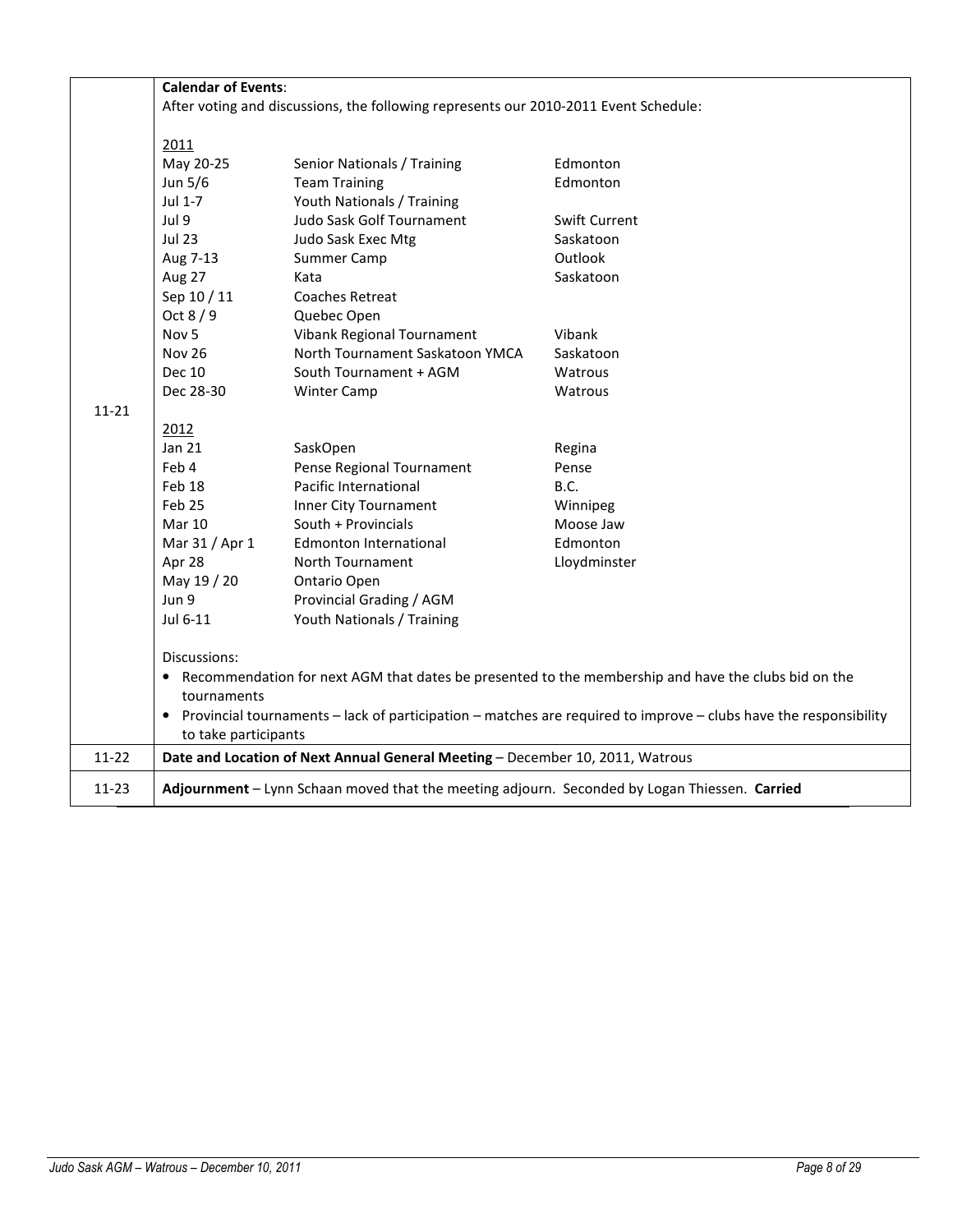|           | <b>Calendar of Events:</b><br>After voting and discussions, the following represents our 2010-2011 Event Schedule: |                                                                               |               |  |  |  |  |  |  |
|-----------|--------------------------------------------------------------------------------------------------------------------|-------------------------------------------------------------------------------|---------------|--|--|--|--|--|--|
|           |                                                                                                                    |                                                                               |               |  |  |  |  |  |  |
|           | 2011                                                                                                               |                                                                               |               |  |  |  |  |  |  |
|           | May 20-25                                                                                                          | Senior Nationals / Training                                                   | Edmonton      |  |  |  |  |  |  |
|           | Jun 5/6                                                                                                            | <b>Team Training</b>                                                          | Edmonton      |  |  |  |  |  |  |
|           | Jul 1-7<br>Youth Nationals / Training                                                                              |                                                                               |               |  |  |  |  |  |  |
|           | Jul 9                                                                                                              | Judo Sask Golf Tournament                                                     | Swift Current |  |  |  |  |  |  |
|           | <b>Jul 23</b>                                                                                                      | Judo Sask Exec Mtg                                                            | Saskatoon     |  |  |  |  |  |  |
|           | Aug 7-13                                                                                                           | Summer Camp                                                                   | Outlook       |  |  |  |  |  |  |
|           | Saskatoon<br>Aug 27<br>Kata                                                                                        |                                                                               |               |  |  |  |  |  |  |
|           | Sep 10 / 11                                                                                                        | <b>Coaches Retreat</b>                                                        |               |  |  |  |  |  |  |
|           | Oct $8/9$                                                                                                          | Quebec Open                                                                   |               |  |  |  |  |  |  |
|           | Nov <sub>5</sub>                                                                                                   | Vibank Regional Tournament                                                    | Vibank        |  |  |  |  |  |  |
|           | <b>Nov 26</b>                                                                                                      | North Tournament Saskatoon YMCA                                               | Saskatoon     |  |  |  |  |  |  |
|           | Dec 10                                                                                                             | South Tournament + AGM                                                        | Watrous       |  |  |  |  |  |  |
|           | Dec 28-30                                                                                                          | <b>Winter Camp</b>                                                            | Watrous       |  |  |  |  |  |  |
| $11 - 21$ |                                                                                                                    |                                                                               |               |  |  |  |  |  |  |
|           | 2012                                                                                                               |                                                                               |               |  |  |  |  |  |  |
|           | Jan 21                                                                                                             | SaskOpen                                                                      | Regina        |  |  |  |  |  |  |
|           | Feb 4                                                                                                              | Pense Regional Tournament                                                     | Pense         |  |  |  |  |  |  |
|           | Feb 18                                                                                                             | Pacific International                                                         | B.C.          |  |  |  |  |  |  |
|           | Feb 25                                                                                                             | Inner City Tournament                                                         | Winnipeg      |  |  |  |  |  |  |
|           | <b>Mar 10</b>                                                                                                      | South + Provincials                                                           | Moose Jaw     |  |  |  |  |  |  |
|           | Mar 31 / Apr 1                                                                                                     | Edmonton International                                                        | Edmonton      |  |  |  |  |  |  |
|           | Apr 28                                                                                                             | North Tournament                                                              | Lloydminster  |  |  |  |  |  |  |
|           | May 19 / 20                                                                                                        | Ontario Open                                                                  |               |  |  |  |  |  |  |
|           | Jun 9                                                                                                              | Provincial Grading / AGM                                                      |               |  |  |  |  |  |  |
|           | Jul 6-11                                                                                                           | Youth Nationals / Training                                                    |               |  |  |  |  |  |  |
|           | Discussions:                                                                                                       |                                                                               |               |  |  |  |  |  |  |
|           | • Recommendation for next AGM that dates be presented to the membership and have the clubs bid on the              |                                                                               |               |  |  |  |  |  |  |
|           | tournaments                                                                                                        |                                                                               |               |  |  |  |  |  |  |
|           | Provincial tournaments – lack of participation – matches are required to improve – clubs have the responsibility   |                                                                               |               |  |  |  |  |  |  |
|           | to take participants                                                                                               |                                                                               |               |  |  |  |  |  |  |
| $11 - 22$ |                                                                                                                    | Date and Location of Next Annual General Meeting - December 10, 2011, Watrous |               |  |  |  |  |  |  |
| 11-23     | Adjournment - Lynn Schaan moved that the meeting adjourn. Seconded by Logan Thiessen. Carried                      |                                                                               |               |  |  |  |  |  |  |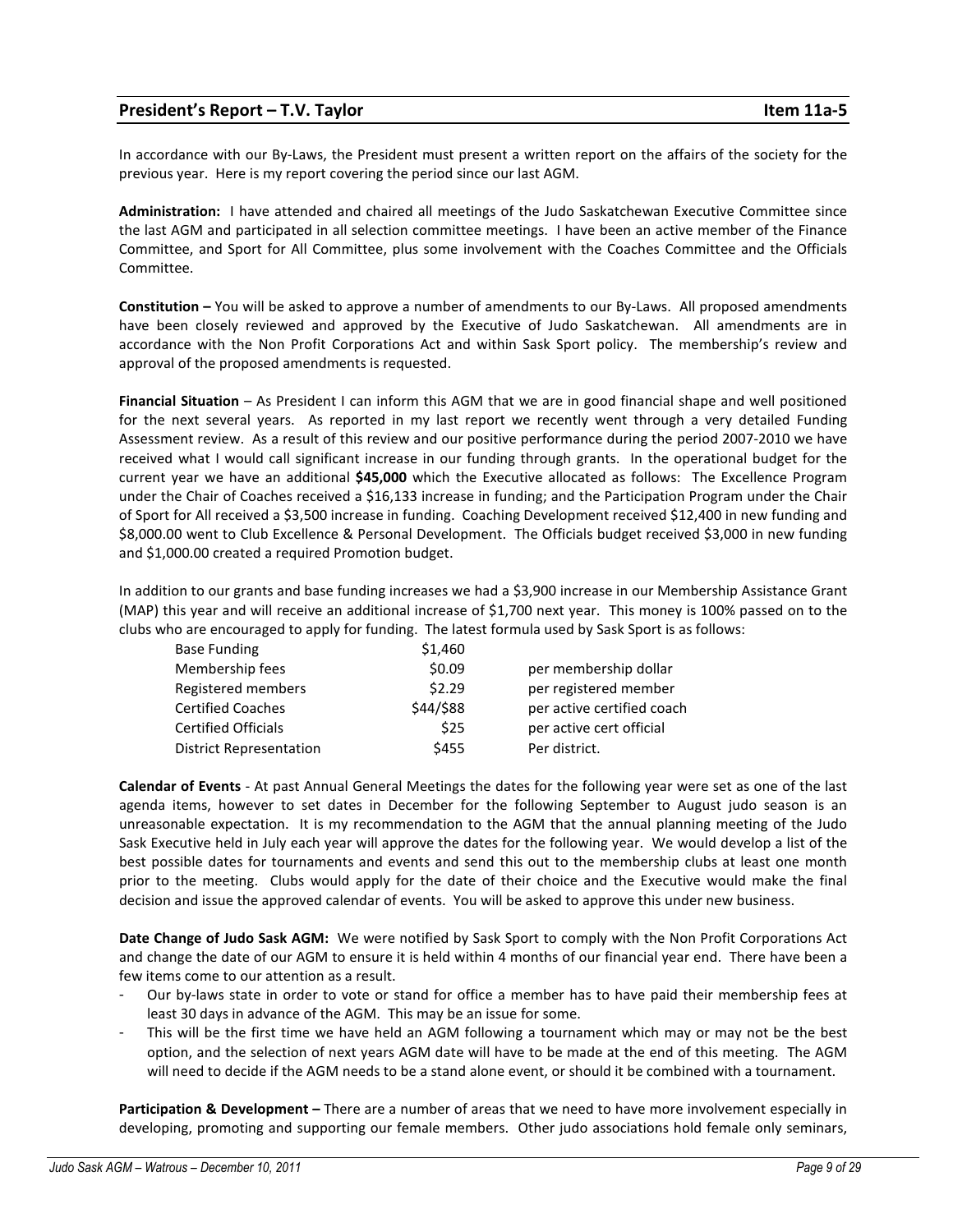# President's Report – T.V. Taylor Item 11a-5

In accordance with our By-Laws, the President must present a written report on the affairs of the society for the previous year. Here is my report covering the period since our last AGM.

Administration: I have attended and chaired all meetings of the Judo Saskatchewan Executive Committee since the last AGM and participated in all selection committee meetings. I have been an active member of the Finance Committee, and Sport for All Committee, plus some involvement with the Coaches Committee and the Officials Committee.

Constitution – You will be asked to approve a number of amendments to our By-Laws. All proposed amendments have been closely reviewed and approved by the Executive of Judo Saskatchewan. All amendments are in accordance with the Non Profit Corporations Act and within Sask Sport policy. The membership's review and approval of the proposed amendments is requested.

Financial Situation – As President I can inform this AGM that we are in good financial shape and well positioned for the next several years. As reported in my last report we recently went through a very detailed Funding Assessment review. As a result of this review and our positive performance during the period 2007-2010 we have received what I would call significant increase in our funding through grants. In the operational budget for the current year we have an additional \$45,000 which the Executive allocated as follows: The Excellence Program under the Chair of Coaches received a \$16,133 increase in funding; and the Participation Program under the Chair of Sport for All received a \$3,500 increase in funding. Coaching Development received \$12,400 in new funding and \$8,000.00 went to Club Excellence & Personal Development. The Officials budget received \$3,000 in new funding and \$1,000.00 created a required Promotion budget.

In addition to our grants and base funding increases we had a \$3,900 increase in our Membership Assistance Grant (MAP) this year and will receive an additional increase of \$1,700 next year. This money is 100% passed on to the clubs who are encouraged to apply for funding. The latest formula used by Sask Sport is as follows:

| <b>Base Funding</b>            | \$1,460   |                            |
|--------------------------------|-----------|----------------------------|
| Membership fees                | \$0.09    | per membership dollar      |
| Registered members             | \$2.29    | per registered member      |
| <b>Certified Coaches</b>       | \$44/\$88 | per active certified coach |
| <b>Certified Officials</b>     | \$25      | per active cert official   |
| <b>District Representation</b> | \$455     | Per district.              |

Calendar of Events - At past Annual General Meetings the dates for the following year were set as one of the last agenda items, however to set dates in December for the following September to August judo season is an unreasonable expectation. It is my recommendation to the AGM that the annual planning meeting of the Judo Sask Executive held in July each year will approve the dates for the following year. We would develop a list of the best possible dates for tournaments and events and send this out to the membership clubs at least one month prior to the meeting. Clubs would apply for the date of their choice and the Executive would make the final decision and issue the approved calendar of events. You will be asked to approve this under new business.

Date Change of Judo Sask AGM: We were notified by Sask Sport to comply with the Non Profit Corporations Act and change the date of our AGM to ensure it is held within 4 months of our financial year end. There have been a few items come to our attention as a result.

- Our by-laws state in order to vote or stand for office a member has to have paid their membership fees at least 30 days in advance of the AGM. This may be an issue for some.
- This will be the first time we have held an AGM following a tournament which may or may not be the best option, and the selection of next years AGM date will have to be made at the end of this meeting. The AGM will need to decide if the AGM needs to be a stand alone event, or should it be combined with a tournament.

Participation & Development – There are a number of areas that we need to have more involvement especially in developing, promoting and supporting our female members. Other judo associations hold female only seminars,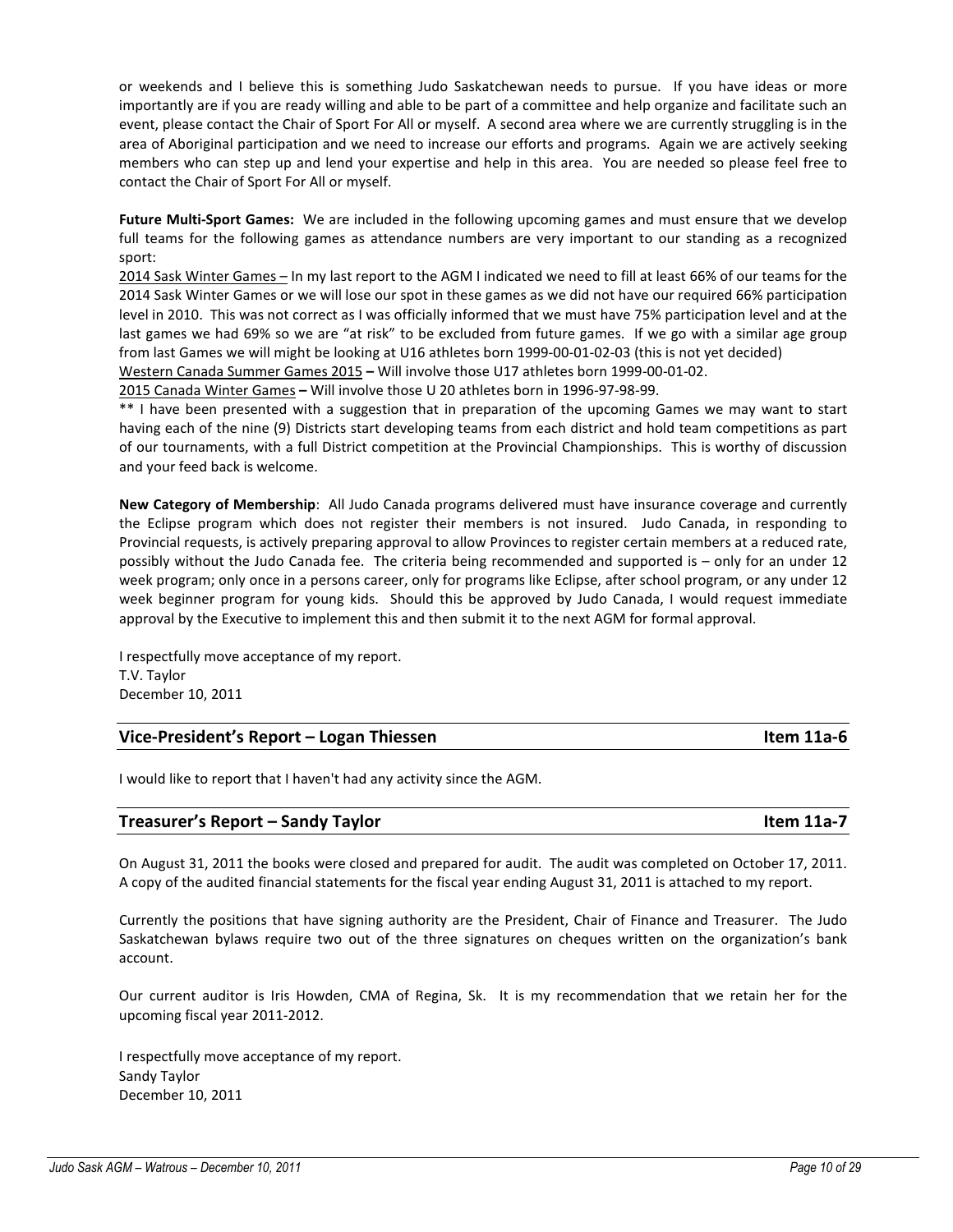or weekends and I believe this is something Judo Saskatchewan needs to pursue. If you have ideas or more importantly are if you are ready willing and able to be part of a committee and help organize and facilitate such an event, please contact the Chair of Sport For All or myself. A second area where we are currently struggling is in the area of Aboriginal participation and we need to increase our efforts and programs. Again we are actively seeking members who can step up and lend your expertise and help in this area. You are needed so please feel free to contact the Chair of Sport For All or myself.

Future Multi-Sport Games: We are included in the following upcoming games and must ensure that we develop full teams for the following games as attendance numbers are very important to our standing as a recognized sport:

2014 Sask Winter Games – In my last report to the AGM I indicated we need to fill at least 66% of our teams for the 2014 Sask Winter Games or we will lose our spot in these games as we did not have our required 66% participation level in 2010. This was not correct as I was officially informed that we must have 75% participation level and at the last games we had 69% so we are "at risk" to be excluded from future games. If we go with a similar age group from last Games we will might be looking at U16 athletes born 1999-00-01-02-03 (this is not yet decided)

Western Canada Summer Games 2015 – Will involve those U17 athletes born 1999-00-01-02.

2015 Canada Winter Games – Will involve those U 20 athletes born in 1996-97-98-99.

\*\* I have been presented with a suggestion that in preparation of the upcoming Games we may want to start having each of the nine (9) Districts start developing teams from each district and hold team competitions as part of our tournaments, with a full District competition at the Provincial Championships. This is worthy of discussion and your feed back is welcome.

New Category of Membership: All Judo Canada programs delivered must have insurance coverage and currently the Eclipse program which does not register their members is not insured. Judo Canada, in responding to Provincial requests, is actively preparing approval to allow Provinces to register certain members at a reduced rate, possibly without the Judo Canada fee. The criteria being recommended and supported is – only for an under 12 week program; only once in a persons career, only for programs like Eclipse, after school program, or any under 12 week beginner program for young kids. Should this be approved by Judo Canada, I would request immediate approval by the Executive to implement this and then submit it to the next AGM for formal approval.

I respectfully move acceptance of my report. T.V. Taylor December 10, 2011

# Vice-President's Report – Logan Thiessen **Item 11a-6**

I would like to report that I haven't had any activity since the AGM.

| Treasurer's Report - Sandy Taylor | Item 11a-7 |
|-----------------------------------|------------|
|                                   |            |

On August 31, 2011 the books were closed and prepared for audit. The audit was completed on October 17, 2011. A copy of the audited financial statements for the fiscal year ending August 31, 2011 is attached to my report.

Currently the positions that have signing authority are the President, Chair of Finance and Treasurer. The Judo Saskatchewan bylaws require two out of the three signatures on cheques written on the organization's bank account.

Our current auditor is Iris Howden, CMA of Regina, Sk. It is my recommendation that we retain her for the upcoming fiscal year 2011-2012.

I respectfully move acceptance of my report. Sandy Taylor December 10, 2011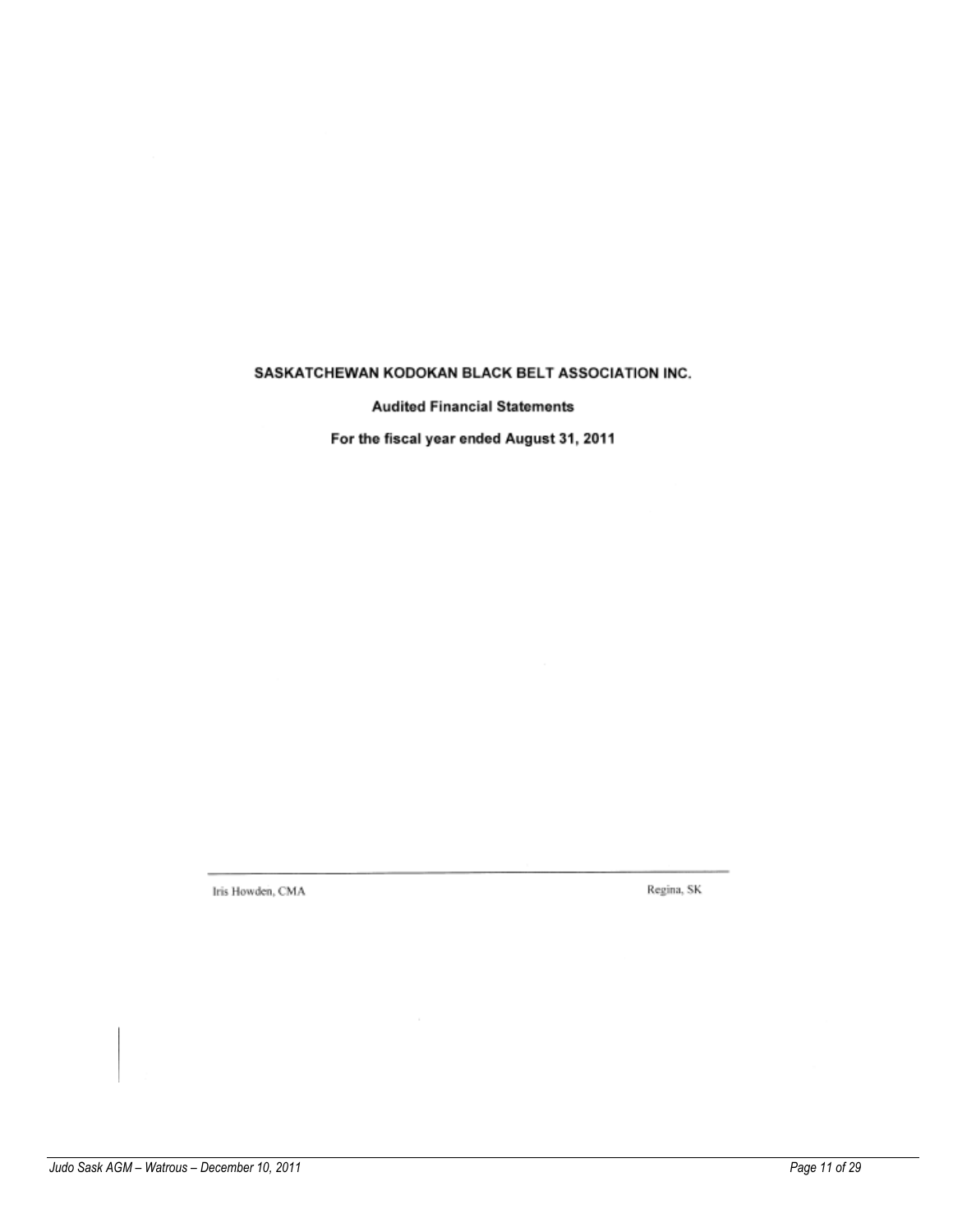# SASKATCHEWAN KODOKAN BLACK BELT ASSOCIATION INC.

**Audited Financial Statements** 

For the fiscal year ended August 31, 2011

Iris Howden, CMA

Regina, SK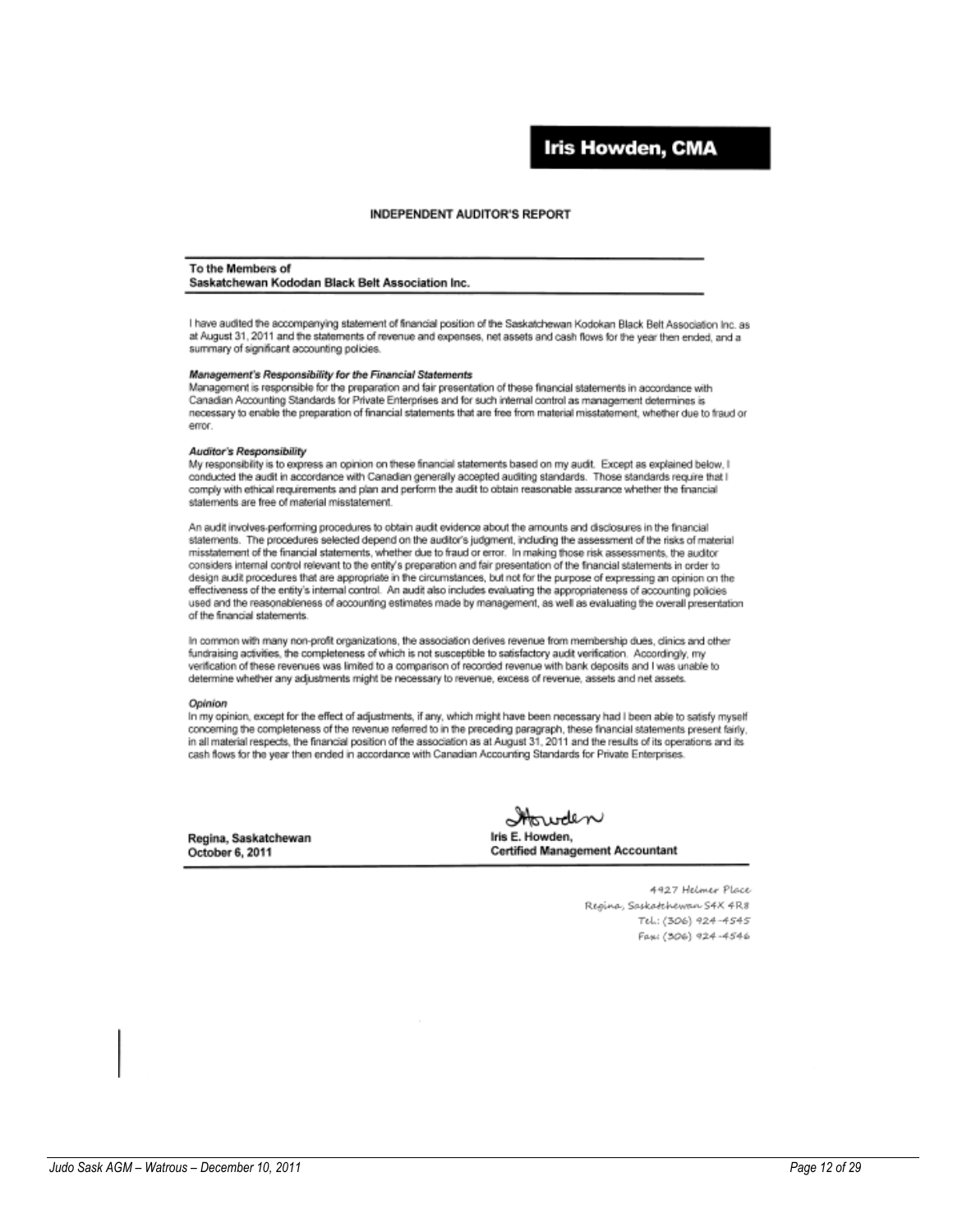# Iris Howden, CMA

### **INDEPENDENT AUDITOR'S REPORT**

#### To the Members of

Saskatchewan Kododan Black Belt Association Inc.

I have audited the accompanying statement of financial position of the Saskatchewan Kodokan Black Belt Association Inc. as at August 31, 2011 and the statements of revenue and expenses, net assets and cash flows for the year then ended, and a summary of significant accounting policies.

#### Management's Responsibility for the Financial Statements

Management is responsible for the preparation and fair presentation of these financial statements in accordance with Canadian Accounting Standards for Private Enterprises and for such internal control as management determines is necessary to enable the preparation of financial statements that are free from material misstatement, whether due to fraud or error.

#### Auditor's Responsibility

My responsibility is to express an opinion on these financial statements based on my audit. Except as explained below, I conducted the audit in accordance with Canadian generally accepted auditing standards. Those standards require that I comply with ethical requirements and plan and perform the audit to obtain reasonable assurance whether the financial statements are free of material misstatement.

An audit involves performing procedures to obtain audit evidence about the amounts and disclosures in the financial statements. The procedures selected depend on the auditor's judgment, including the assessment of the risks of material misstatement of the financial statements, whether due to fraud or error. In making those risk assessments, the auditor considers internal control relevant to the entity's preparation and fair presentation of the financial statements in order to design audit procedures that are appropriate in the circumstances, but not for the purpose of expressing an opinion on the effectiveness of the entity's internal control. An audit also includes evaluating the appropriateness of accounting policies used and the reasonableness of accounting estimates made by management, as well as evaluating the overall presentation of the financial statements.

In common with many non-profit organizations, the association derives revenue from membership dues, clinics and other fundraising activities, the completeness of which is not susceptible to satisfactory audit verification. Accordingly, my verification of these revenues was limited to a comparison of recorded revenue with bank deposits and I was unable to determine whether any adjustments might be necessary to revenue, excess of revenue, assets and net assets.

#### Opinion

In my opinion, except for the effect of adjustments, if any, which might have been necessary had I been able to satisfy myself concerning the completeness of the revenue referred to in the preceding paragraph, these financial statements present fairly, in all material respects, the financial position of the association as at August 31, 2011 and the results of its operations and its cash flows for the year then ended in accordance with Canadian Accounting Standards for Private Enterprises.

Regina, Saskatchewan October 6, 2011

<del>Mo</del>wden Iris E. Howden, **Certified Management Accountant** 

4927 Helmer Place Regina, Saskadchewan S4X 4R8 Tel.: (306) 924-4545 Fax: (306) 924-4546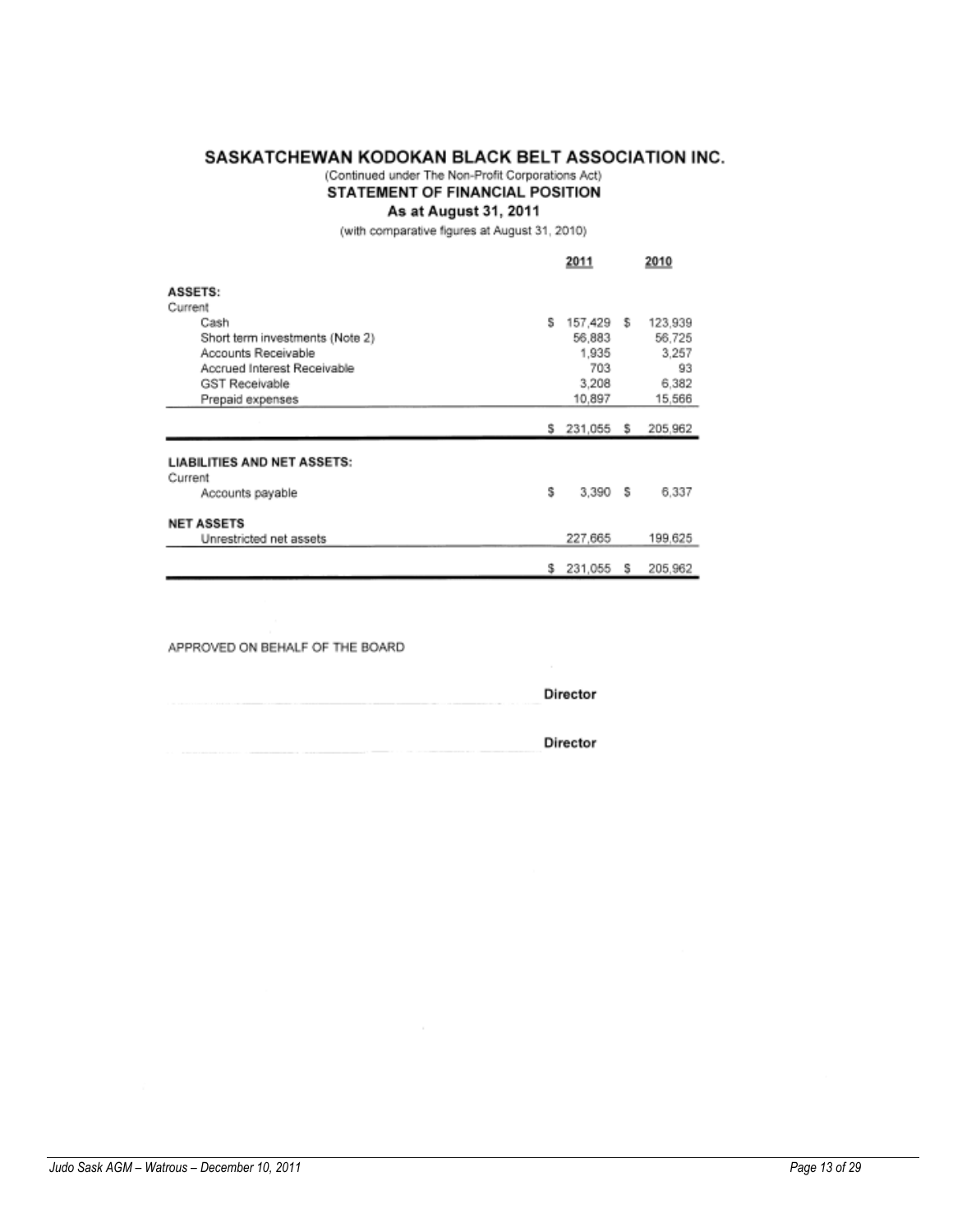# SASKATCHEWAN KODOKAN BLACK BELT ASSOCIATION INC.

# (Continued under The Non-Profit Corporations Act)

# STATEMENT OF FINANCIAL POSITION

# As at August 31, 2011

(with comparative figures at August 31, 2010)

|                                    |   | 2011          |   | 2010    |
|------------------------------------|---|---------------|---|---------|
| <b>ASSETS:</b>                     |   |               |   |         |
| Current                            |   |               |   |         |
| Cash                               | s | 157,429 \$    |   | 123,939 |
| Short term investments (Note 2)    |   | 56,883        |   | 56,725  |
| Accounts Receivable                |   | 1,935         |   | 3,257   |
| Accrued Interest Receivable        |   | 703           |   | 93      |
| <b>GST Receivable</b>              |   | 3,208         |   | 6,382   |
| Prepaid expenses                   |   | 10.897        |   | 15,566  |
|                                    |   |               |   |         |
|                                    |   | \$ 231,055 \$ |   | 205,962 |
|                                    |   |               |   |         |
| <b>LIABILITIES AND NET ASSETS:</b> |   |               |   |         |
| Current                            |   |               |   |         |
| Accounts payable                   | s | 3.390 \$      |   | 6,337   |
| <b>NET ASSETS</b>                  |   |               |   |         |
| Unrestricted net assets            |   | 227,665       |   | 199,625 |
|                                    |   |               |   |         |
|                                    | s | 231,055       | s | 205,962 |

APPROVED ON BEHALF OF THE BOARD

| The control of the control of the           | Director |
|---------------------------------------------|----------|
| and the property of the control of the con- | Director |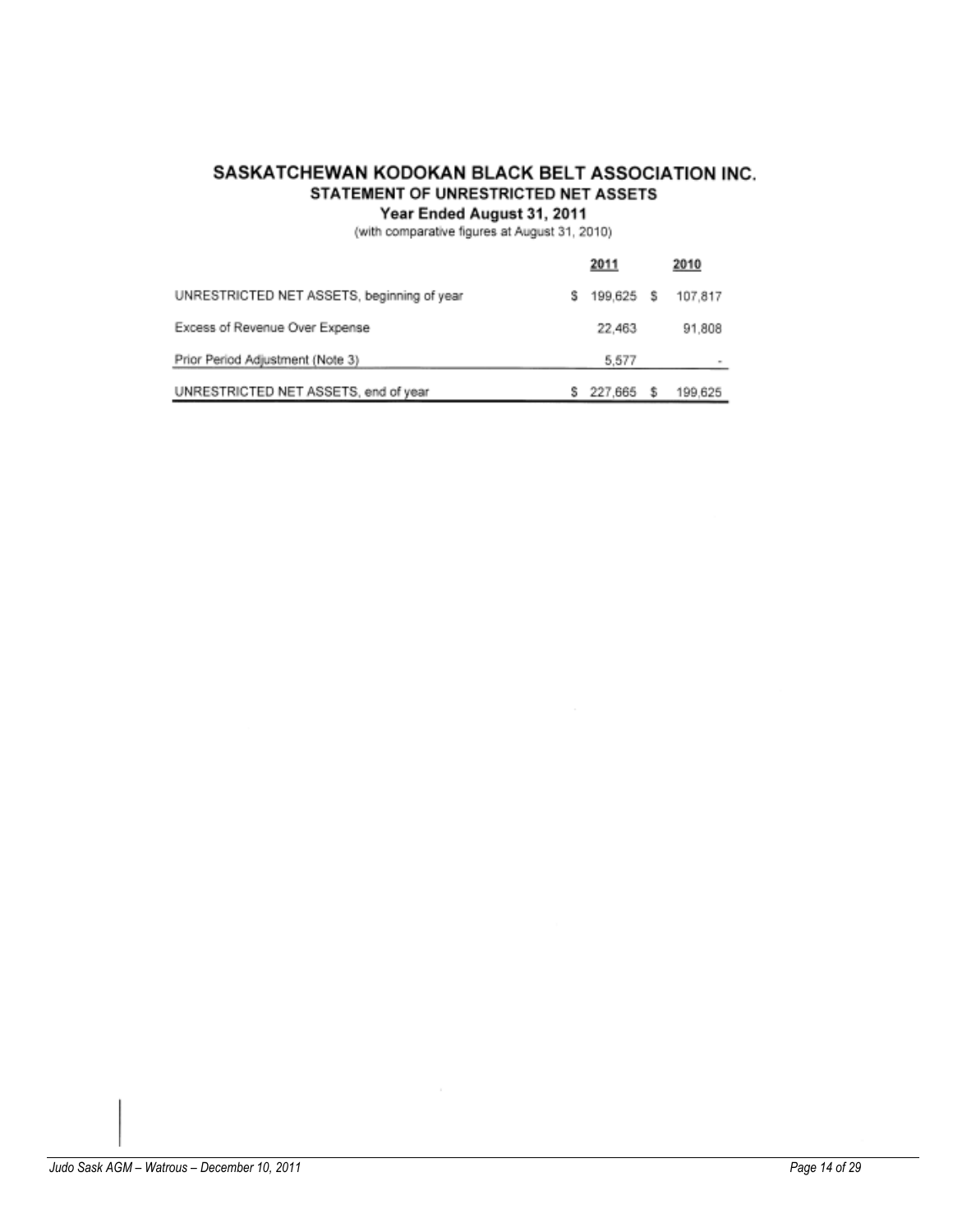# SASKATCHEWAN KODOKAN BLACK BELT ASSOCIATION INC. STATEMENT OF UNRESTRICTED NET ASSETS

# Year Ended August 31, 2011

(with comparative figures at August 31, 2010)

|                                            |   | 2011      |   | 2010    |
|--------------------------------------------|---|-----------|---|---------|
| UNRESTRICTED NET ASSETS, beginning of year | s | 199,625 S |   | 107.817 |
| Excess of Revenue Over Expense             |   | 22,463    |   | 91,808  |
| Prior Period Adjustment (Note 3)           |   | 5.577     |   |         |
| UNRESTRICTED NET ASSETS, end of year       |   | 227.665   | s | 199.625 |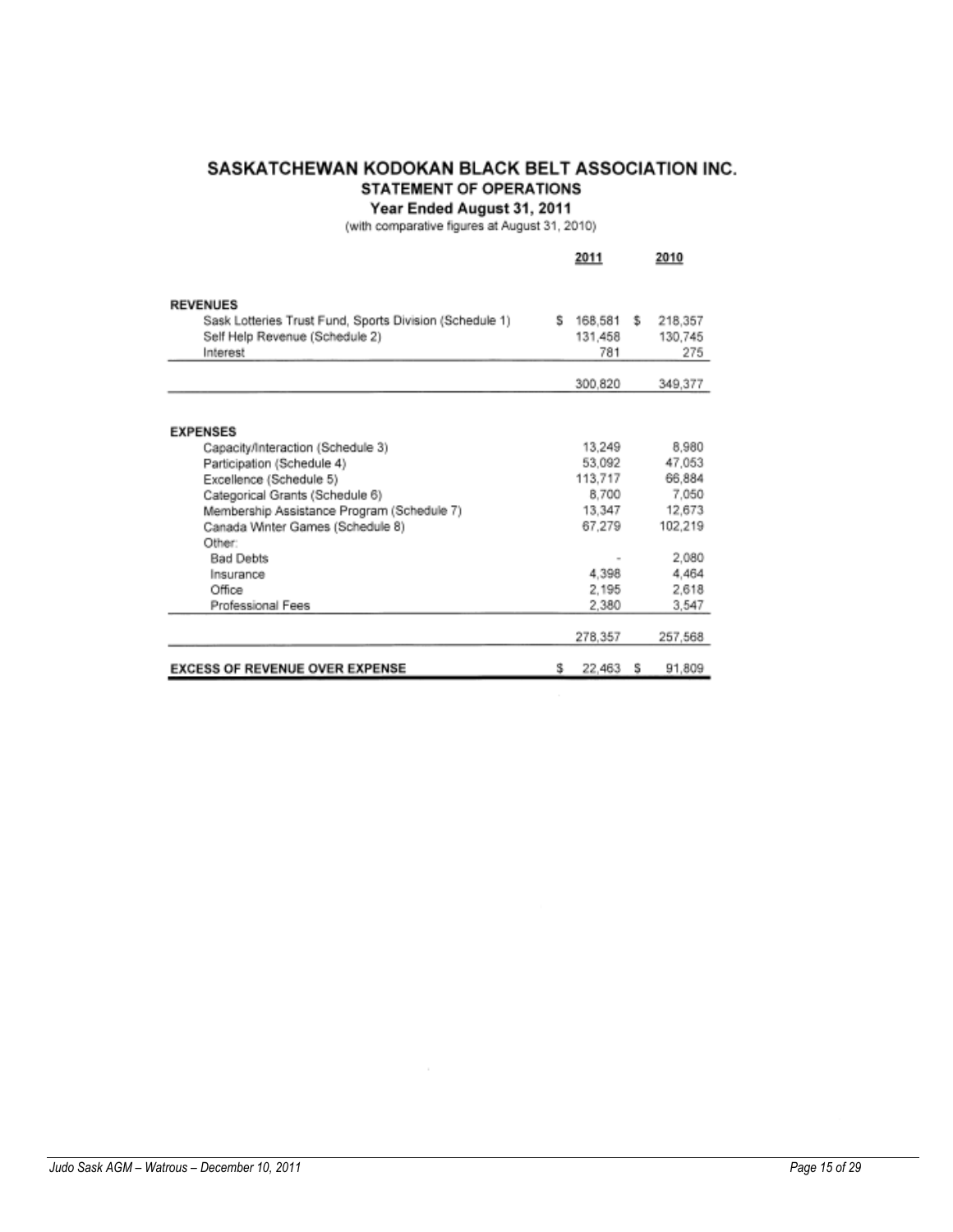# SASKATCHEWAN KODOKAN BLACK BELT ASSOCIATION INC. **STATEMENT OF OPERATIONS**

Year Ended August 31, 2011<br>(with comparative figures at August 31, 2010)

|                                                         |   | 2011    |    | 2010    |
|---------------------------------------------------------|---|---------|----|---------|
|                                                         |   |         |    |         |
| <b>REVENUES</b>                                         |   |         |    |         |
| Sask Lotteries Trust Fund, Sports Division (Schedule 1) | s | 168,581 | s. | 218,357 |
| Self Help Revenue (Schedule 2)                          |   | 131,458 |    | 130,745 |
| Interest                                                |   | 781     |    | 275     |
|                                                         |   | 300,820 |    | 349,377 |
|                                                         |   |         |    |         |
| <b>EXPENSES</b>                                         |   |         |    |         |
| Capacity/Interaction (Schedule 3)                       |   | 13.249  |    | 8,980   |
| Participation (Schedule 4)                              |   | 53.092  |    | 47.053  |
| Excellence (Schedule 5)                                 |   | 113,717 |    | 66,884  |
| Categorical Grants (Schedule 6)                         |   | 8.700   |    | 7.050   |
| Membership Assistance Program (Schedule 7)              |   | 13,347  |    | 12,673  |
| Canada Winter Games (Schedule 8)                        |   | 67.279  |    | 102,219 |
| Other:                                                  |   |         |    |         |
| <b>Bad Debts</b>                                        |   |         |    | 2.080   |
| Insurance                                               |   | 4,398   |    | 4,464   |
| Office                                                  |   | 2,195   |    | 2.618   |
| Professional Fees                                       |   | 2.380   |    | 3.547   |
|                                                         |   | 278,357 |    | 257,568 |
|                                                         |   |         |    |         |
| <b>EXCESS OF REVENUE OVER EXPENSE</b>                   | s | 22,463  | s  | 91,809  |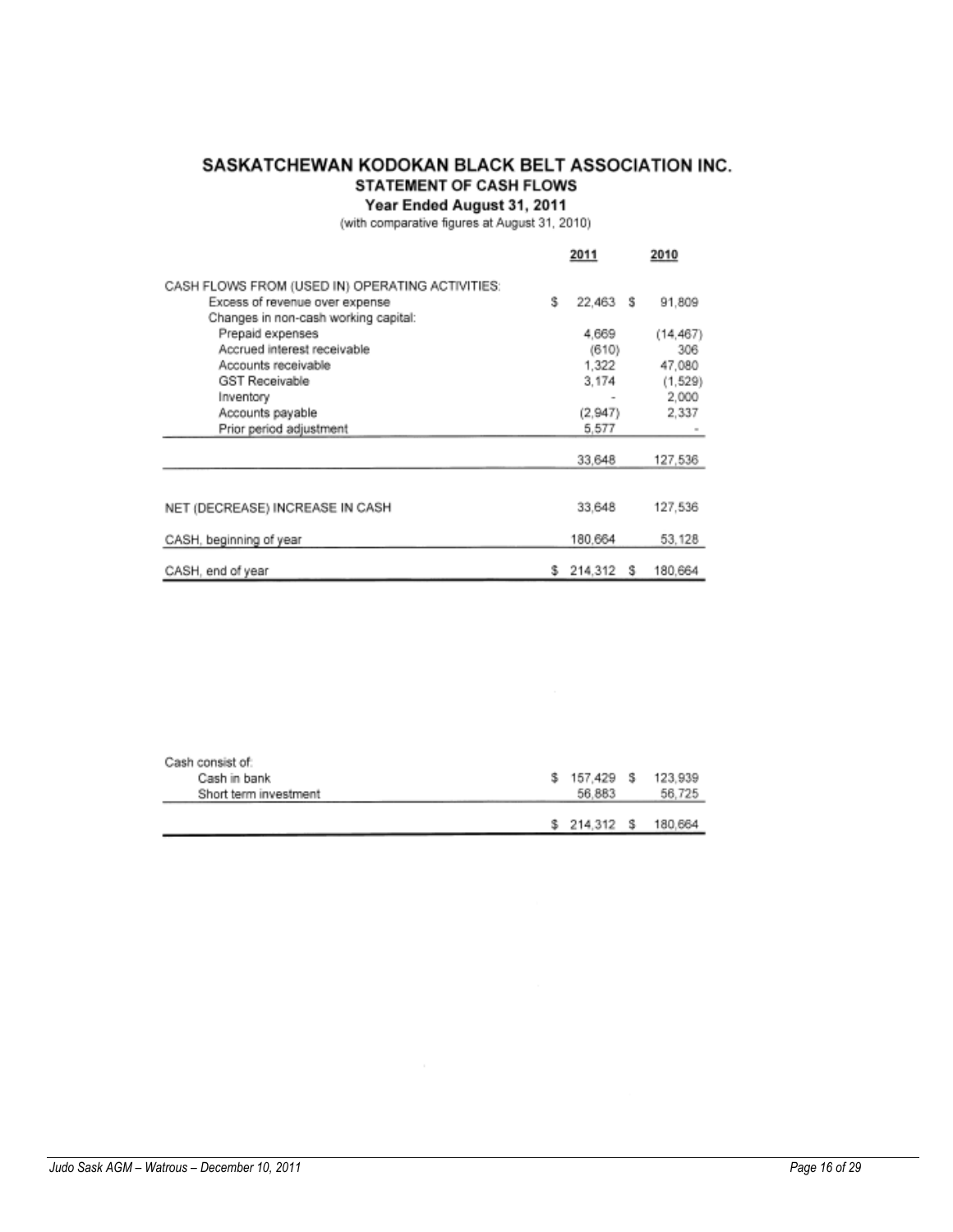# SASKATCHEWAN KODOKAN BLACK BELT ASSOCIATION INC. **STATEMENT OF CASH FLOWS**

Year Ended August 31, 2011<br>(with comparative figures at August 31, 2010)

|                                                 |   | 2011     |   | 2010     |
|-------------------------------------------------|---|----------|---|----------|
| CASH FLOWS FROM (USED IN) OPERATING ACTIVITIES: |   |          |   |          |
| Excess of revenue over expense                  | s | 22,463 S |   | 91.809   |
| Changes in non-cash working capital:            |   |          |   |          |
| Prepaid expenses                                |   | 4,669    |   | (14.467) |
| Accrued interest receivable                     |   | (610)    |   | 306      |
| Accounts receivable                             |   | 1.322    |   | 47,080   |
| <b>GST Receivable</b>                           |   | 3.174    |   | (1, 529) |
| Inventory                                       |   |          |   | 2.000    |
| Accounts payable                                |   | (2, 947) |   | 2,337    |
| Prior period adjustment                         |   | 5,577    |   |          |
|                                                 |   | 33,648   |   | 127,536  |
|                                                 |   |          |   |          |
| NET (DECREASE) INCREASE IN CASH                 |   | 33,648   |   | 127,536  |
| CASH, beginning of year                         |   | 180.664  |   | 53.128   |
| CASH, end of year                               | s | 214.312  | s | 180.664  |

| Cash consist of:      |              |         |
|-----------------------|--------------|---------|
| Cash in bank          | $$157.429$ S | 123,939 |
| Short term investment | 56.883       | 56.725  |
|                       |              |         |
|                       | $$214.312$ S | 180,664 |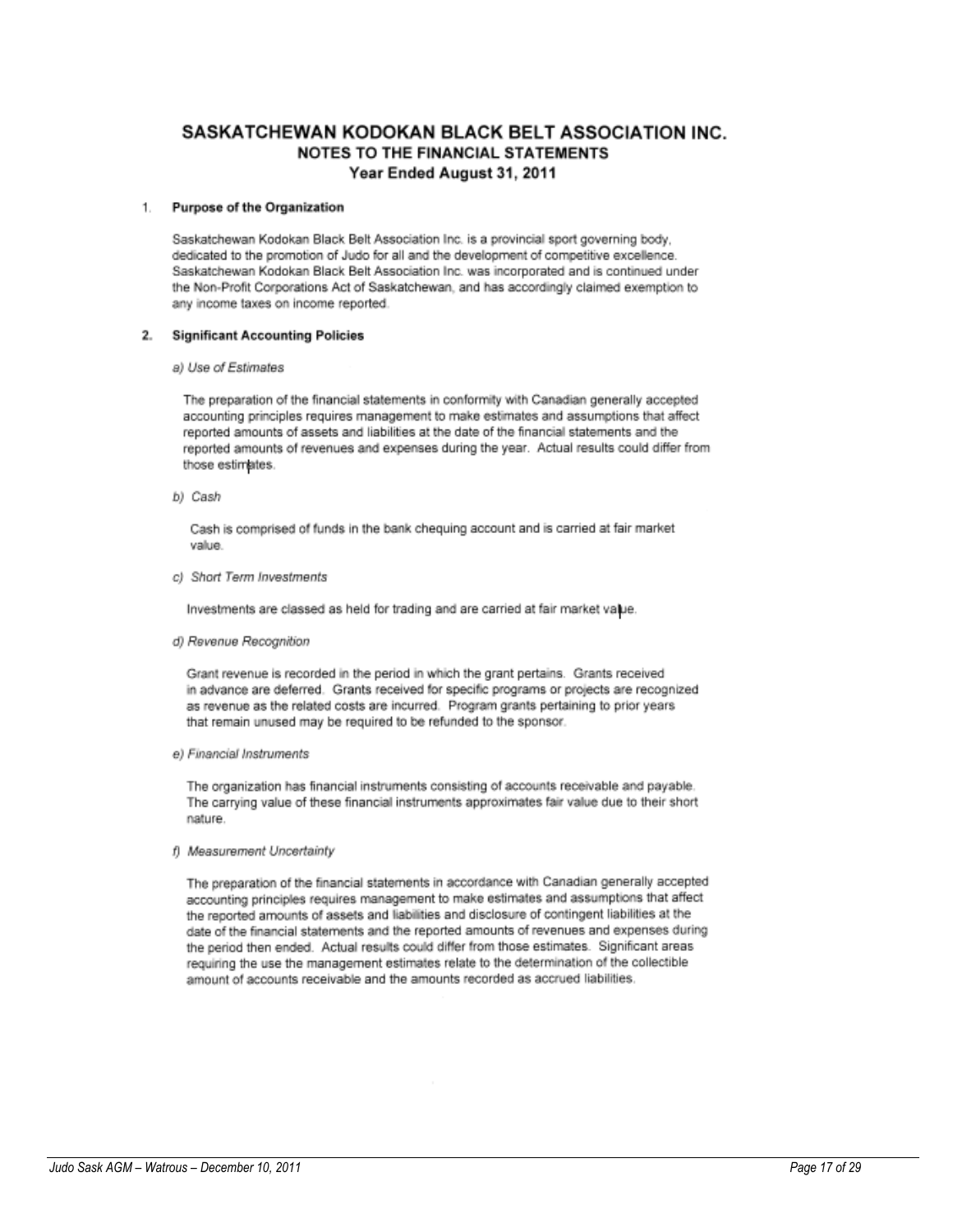# SASKATCHEWAN KODOKAN BLACK BELT ASSOCIATION INC. NOTES TO THE FINANCIAL STATEMENTS Year Ended August 31, 2011

#### Purpose of the Organization 1.

Saskatchewan Kodokan Black Belt Association Inc. is a provincial sport governing body. dedicated to the promotion of Judo for all and the development of competitive excellence. Saskatchewan Kodokan Black Belt Association Inc. was incorporated and is continued under the Non-Profit Corporations Act of Saskatchewan, and has accordingly claimed exemption to any income taxes on income reported.

### 2. Significant Accounting Policies

### a) Use of Estimates

The preparation of the financial statements in conformity with Canadian generally accepted accounting principles requires management to make estimates and assumptions that affect reported amounts of assets and liabilities at the date of the financial statements and the reported amounts of revenues and expenses during the year. Actual results could differ from those estimates.

b) Cash

Cash is comprised of funds in the bank chequing account and is carried at fair market value.

c) Short Term Investments

Investments are classed as held for trading and are carried at fair market value.

d) Revenue Recognition

Grant revenue is recorded in the period in which the grant pertains. Grants received in advance are deferred. Grants received for specific programs or projects are recognized as revenue as the related costs are incurred. Program grants pertaining to prior years that remain unused may be required to be refunded to the sponsor.

e) Financial Instruments

The organization has financial instruments consisting of accounts receivable and payable. The carrying value of these financial instruments approximates fair value due to their short nature.

f) Measurement Uncertainty

The preparation of the financial statements in accordance with Canadian generally accepted accounting principles requires management to make estimates and assumptions that affect the reported amounts of assets and liabilities and disclosure of contingent liabilities at the date of the financial statements and the reported amounts of revenues and expenses during the period then ended. Actual results could differ from those estimates. Significant areas requiring the use the management estimates relate to the determination of the collectible amount of accounts receivable and the amounts recorded as accrued liabilities.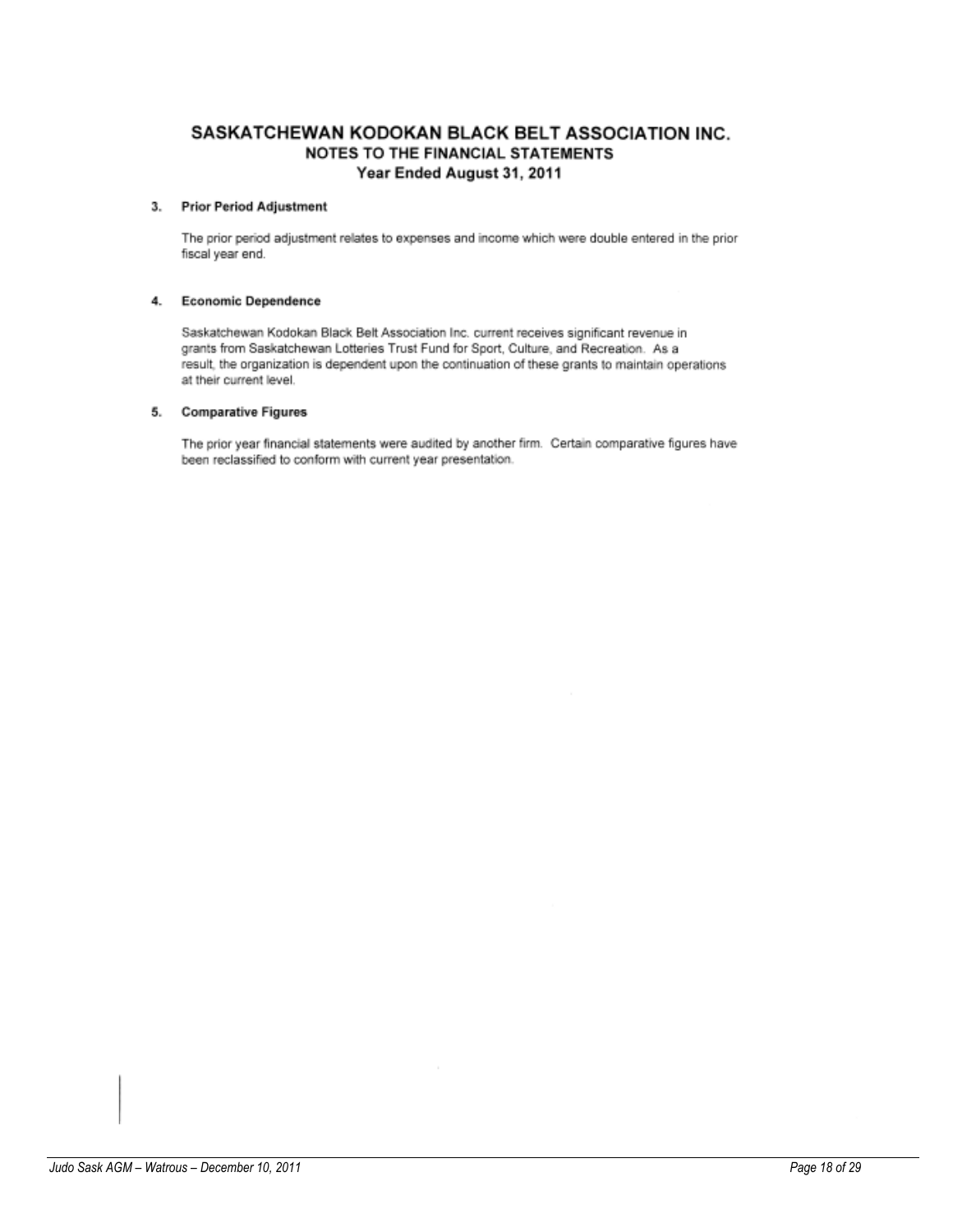# SASKATCHEWAN KODOKAN BLACK BELT ASSOCIATION INC. NOTES TO THE FINANCIAL STATEMENTS Year Ended August 31, 2011

### 3. Prior Period Adjustment

The prior period adjustment relates to expenses and income which were double entered in the prior fiscal year end.

### 4. Economic Dependence

Saskatchewan Kodokan Black Belt Association Inc. current receives significant revenue in grants from Saskatchewan Lotteries Trust Fund for Sport, Culture, and Recreation. As a result, the organization is dependent upon the continuation of these grants to maintain operations at their current level.

### 5. Comparative Figures

The prior year financial statements were audited by another firm. Certain comparative figures have been reclassified to conform with current year presentation.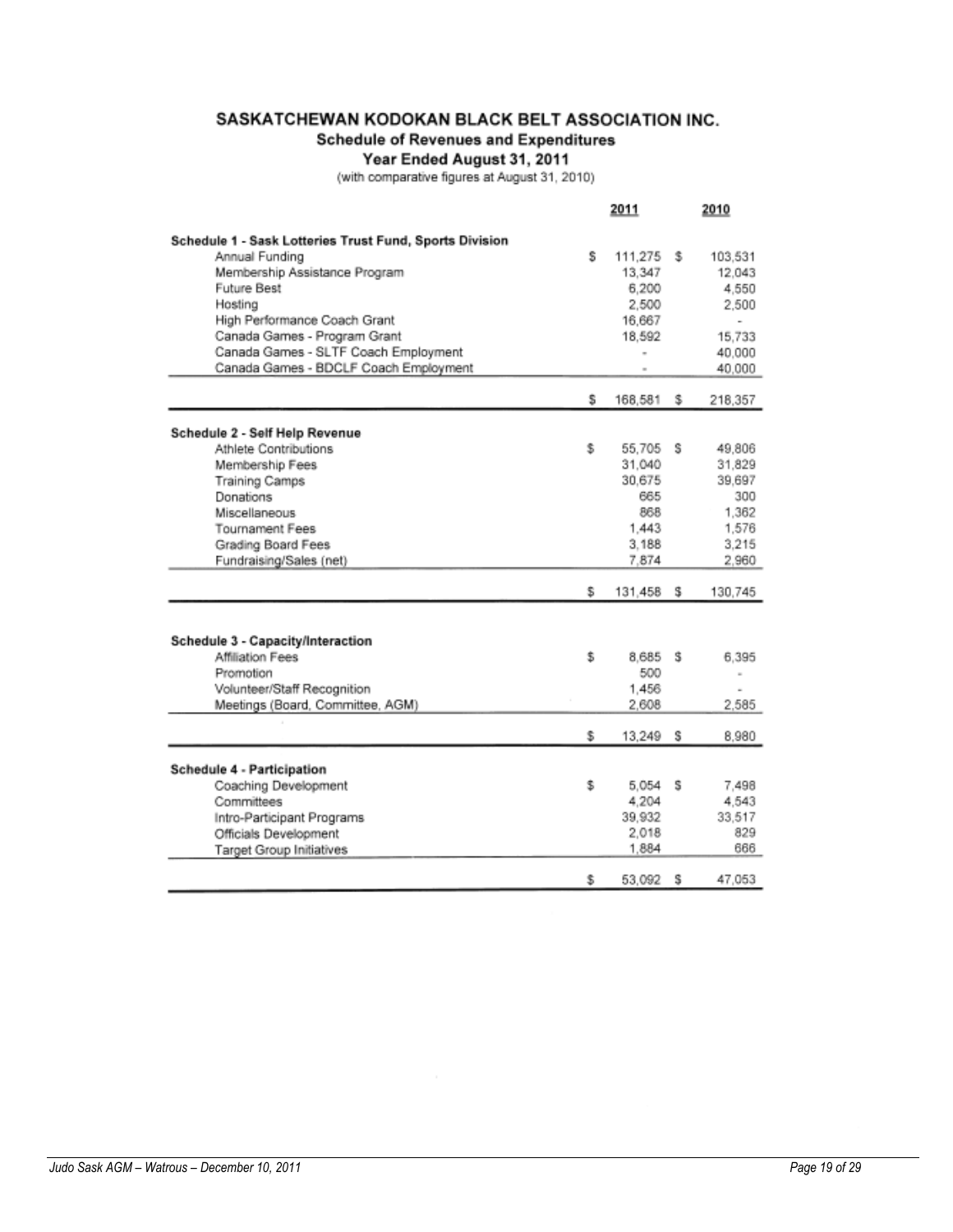# SASKATCHEWAN KODOKAN BLACK BELT ASSOCIATION INC.

# **Schedule of Revenues and Expenditures**

Year Ended August 31, 2011<br>(with comparative figures at August 31, 2010)

|                                                         |     | 2011      |   | 2010           |
|---------------------------------------------------------|-----|-----------|---|----------------|
| Schedule 1 - Sask Lotteries Trust Fund, Sports Division |     |           |   |                |
| Annual Funding                                          | s   | 111,275   | s | 103,531        |
| Membership Assistance Program                           |     | 13,347    |   | 12.043         |
| Future Best                                             |     | 6,200     |   | 4,550          |
| Hosting                                                 |     | 2,500     |   | 2.500          |
| High Performance Coach Grant                            |     | 16,667    |   |                |
| Canada Games - Program Grant                            |     | 18.592    |   | 15.733         |
| Canada Games - SLTF Coach Employment                    |     |           |   | 40,000         |
| Canada Games - BDCLF Coach Employment                   |     |           |   | 40,000         |
|                                                         |     |           |   |                |
|                                                         | s   | 168,581   | s | 218,357        |
|                                                         |     |           |   |                |
| Schedule 2 - Self Help Revenue<br>Athlete Contributions | s.  | 55.705 S  |   | 49,806         |
| Membership Fees                                         |     | 31,040    |   | 31,829         |
| <b>Training Camps</b>                                   |     | 30.675    |   | 39.697         |
| Donations                                               |     | 665       |   | 300            |
| Miscellaneous                                           |     | 868       |   | 1,362          |
| <b>Tournament Fees</b>                                  |     | 1.443     |   | 1,576          |
| Grading Board Fees                                      |     | 3.188     |   | 3.215          |
| Fundraising/Sales (net)                                 |     | 7.874     |   | 2,960          |
|                                                         |     |           |   |                |
|                                                         | s   | 131,458   | s | 130,745        |
|                                                         |     |           |   |                |
| Schedule 3 - Capacity/Interaction                       |     |           |   |                |
| Affiliation Fees                                        | \$. | 8,685 \$  |   | 6,395          |
| Promotion                                               |     | 500       |   | $\overline{a}$ |
| Volunteer/Staff Recognition                             |     | 1,456     |   |                |
| Meetings (Board, Committee, AGM)                        |     | 2,608     |   | 2.585          |
|                                                         |     |           |   |                |
|                                                         | \$  | 13,249    | s | 8.980          |
| Schedule 4 - Participation                              |     |           |   |                |
| Coaching Development                                    | \$  | $5,054$ S |   | 7,498          |
| Committees                                              |     | 4.204     |   | 4,543          |
| Intro-Participant Programs                              |     | 39.932    |   | 33.517         |
| Officials Development                                   |     | 2,018     |   | 829            |
| Target Group Initiatives                                |     | 1.884     |   | 666            |
|                                                         |     |           |   |                |
|                                                         | s.  | 53,092    | s | 47,053         |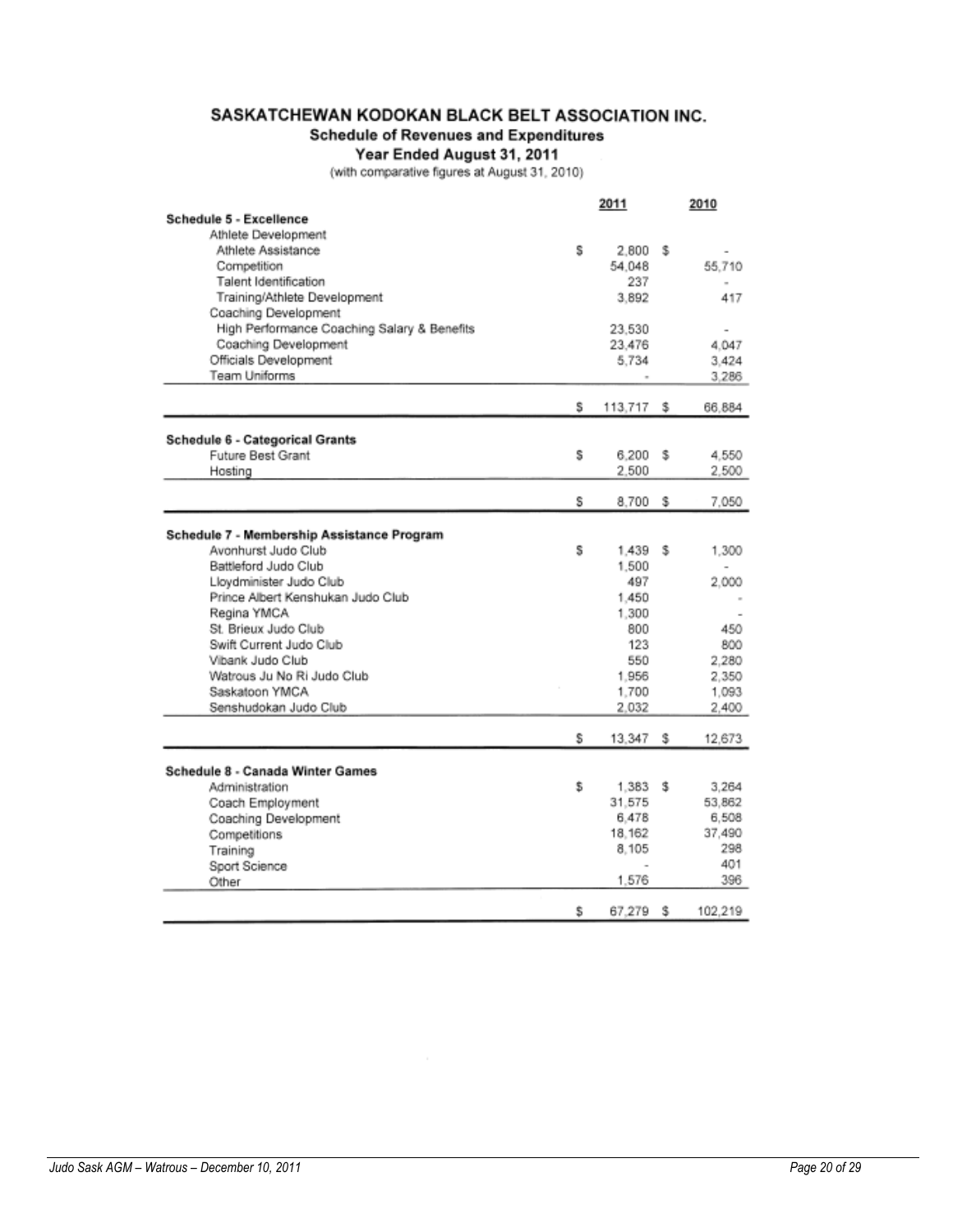# SASKATCHEWAN KODOKAN BLACK BELT ASSOCIATION INC.

# **Schedule of Revenues and Expenditures**

Year Ended August 31, 2011<br>(with comparative figures at August 31, 2010)

|                                             |    | 2011    |    | 2010    |
|---------------------------------------------|----|---------|----|---------|
| Schedule 5 - Excellence                     |    |         |    |         |
| Athlete Development                         |    |         |    |         |
| Athlete Assistance                          | s  | 2.800   | s  |         |
| Competition                                 |    | 54.048  |    | 55,710  |
| Talent Identification                       |    | 237     |    |         |
| Training/Athlete Development                |    | 3,892   |    | 417     |
| Coaching Development                        |    |         |    |         |
| High Performance Coaching Salary & Benefits |    | 23.530  |    |         |
| Coaching Development                        |    | 23.476  |    | 4.047   |
| Officials Development                       |    | 5.734   |    | 3.424   |
| Team Uniforms                               |    |         |    | 3.286   |
|                                             |    |         |    |         |
|                                             | s  | 113,717 | s  | 66,884  |
|                                             |    |         |    |         |
| Schedule 6 - Categorical Grants             |    |         |    |         |
| Future Best Grant                           | s  | 6.200   | s  | 4.550   |
| Hosting                                     |    | 2.500   |    | 2,500   |
|                                             |    |         |    |         |
|                                             | s  | 8.700   | s  | 7.050   |
|                                             |    |         |    |         |
| Schedule 7 - Membership Assistance Program  |    |         |    |         |
| Avonhurst Judo Club                         | s  | 1.439   | s  | 1.300   |
| Battleford Judo Club                        |    | 1.500   |    |         |
| Lloydminister Judo Club                     |    | 497     |    | 2,000   |
| Prince Albert Kenshukan Judo Club           |    | 1.450   |    |         |
| Regina YMCA                                 |    | 1,300   |    |         |
| St. Brieux Judo Club                        |    | 800     |    | 450     |
| Swift Current Judo Club                     |    | 123     |    | 800     |
| Vibank Judo Club                            |    | 550     |    | 2.280   |
| Watrous Ju No Ri Judo Club                  |    | 1.956   |    | 2,350   |
| Saskatoon YMCA                              |    | 1.700   |    | 1.093   |
| Senshudokan Judo Club                       |    | 2,032   |    | 2,400   |
|                                             |    |         |    |         |
|                                             | s  | 13,347  | s  | 12,673  |
|                                             |    |         |    |         |
| Schedule 8 - Canada Winter Games            |    |         |    |         |
| Administration                              | \$ | 1.383   | s  | 3,264   |
| Coach Employment                            |    | 31,575  |    | 53,862  |
| Coaching Development                        |    | 6.478   |    | 6,508   |
| Competitions                                |    | 18.162  |    | 37.490  |
| Training                                    |    | 8.105   |    | 298     |
| Sport Science                               |    |         |    | 401     |
| Other                                       |    | 1.576   |    | 396     |
|                                             | s  | 67.279  | s. | 102.219 |
|                                             |    |         |    |         |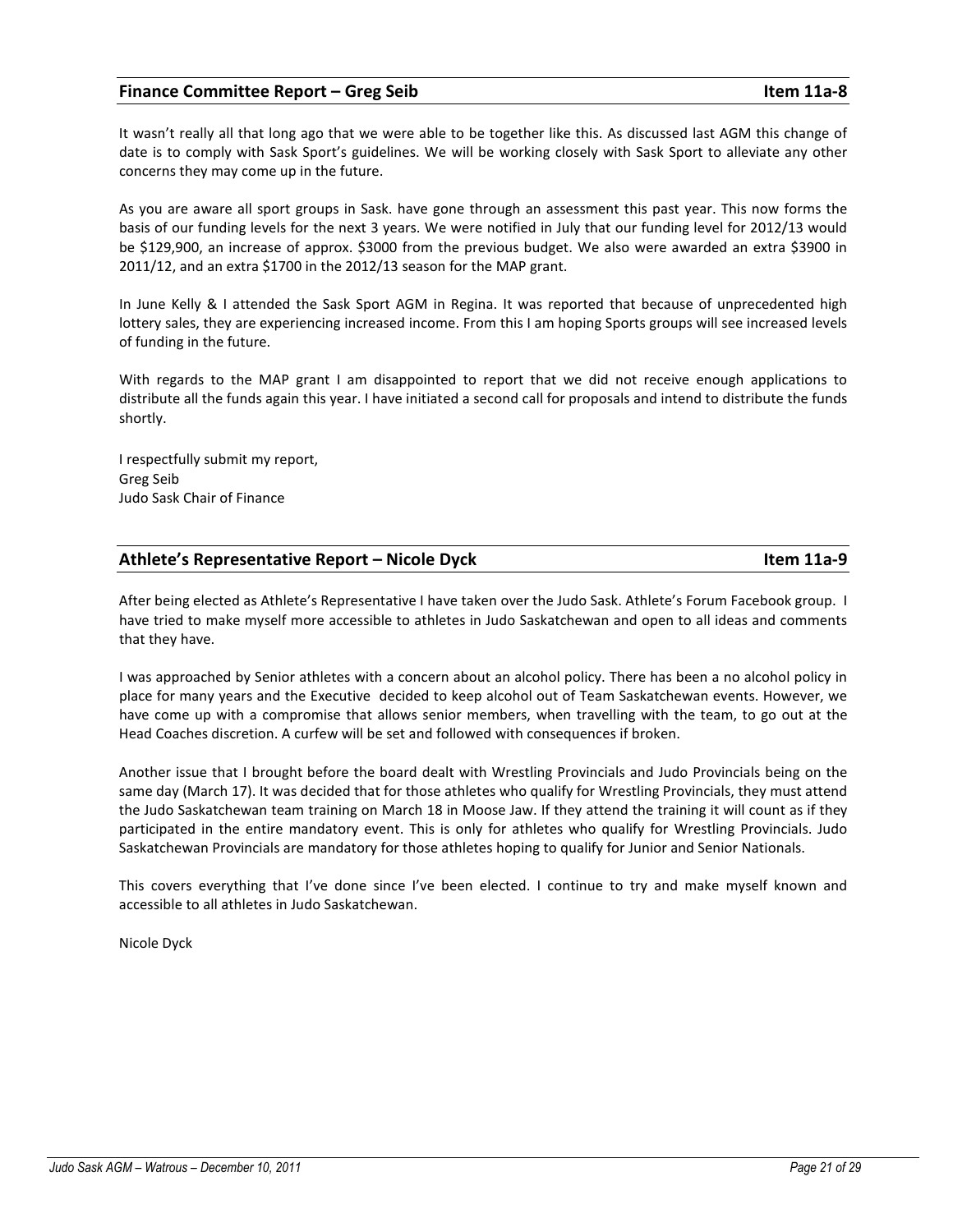### Finance Committee Report – Greg Seib **Item 11a-8** Item 11a-8

It wasn't really all that long ago that we were able to be together like this. As discussed last AGM this change of date is to comply with Sask Sport's guidelines. We will be working closely with Sask Sport to alleviate any other concerns they may come up in the future.

As you are aware all sport groups in Sask. have gone through an assessment this past year. This now forms the basis of our funding levels for the next 3 years. We were notified in July that our funding level for 2012/13 would be \$129,900, an increase of approx. \$3000 from the previous budget. We also were awarded an extra \$3900 in 2011/12, and an extra \$1700 in the 2012/13 season for the MAP grant.

In June Kelly & I attended the Sask Sport AGM in Regina. It was reported that because of unprecedented high lottery sales, they are experiencing increased income. From this I am hoping Sports groups will see increased levels of funding in the future.

With regards to the MAP grant I am disappointed to report that we did not receive enough applications to distribute all the funds again this year. I have initiated a second call for proposals and intend to distribute the funds shortly.

I respectfully submit my report, Greg Seib Judo Sask Chair of Finance

# Athlete's Representative Report – Nicole Dyck Item 11a-9

After being elected as Athlete's Representative I have taken over the Judo Sask. Athlete's Forum Facebook group. I have tried to make myself more accessible to athletes in Judo Saskatchewan and open to all ideas and comments that they have.

I was approached by Senior athletes with a concern about an alcohol policy. There has been a no alcohol policy in place for many years and the Executive decided to keep alcohol out of Team Saskatchewan events. However, we have come up with a compromise that allows senior members, when travelling with the team, to go out at the Head Coaches discretion. A curfew will be set and followed with consequences if broken.

Another issue that I brought before the board dealt with Wrestling Provincials and Judo Provincials being on the same day (March 17). It was decided that for those athletes who qualify for Wrestling Provincials, they must attend the Judo Saskatchewan team training on March 18 in Moose Jaw. If they attend the training it will count as if they participated in the entire mandatory event. This is only for athletes who qualify for Wrestling Provincials. Judo Saskatchewan Provincials are mandatory for those athletes hoping to qualify for Junior and Senior Nationals.

This covers everything that I've done since I've been elected. I continue to try and make myself known and accessible to all athletes in Judo Saskatchewan.

Nicole Dyck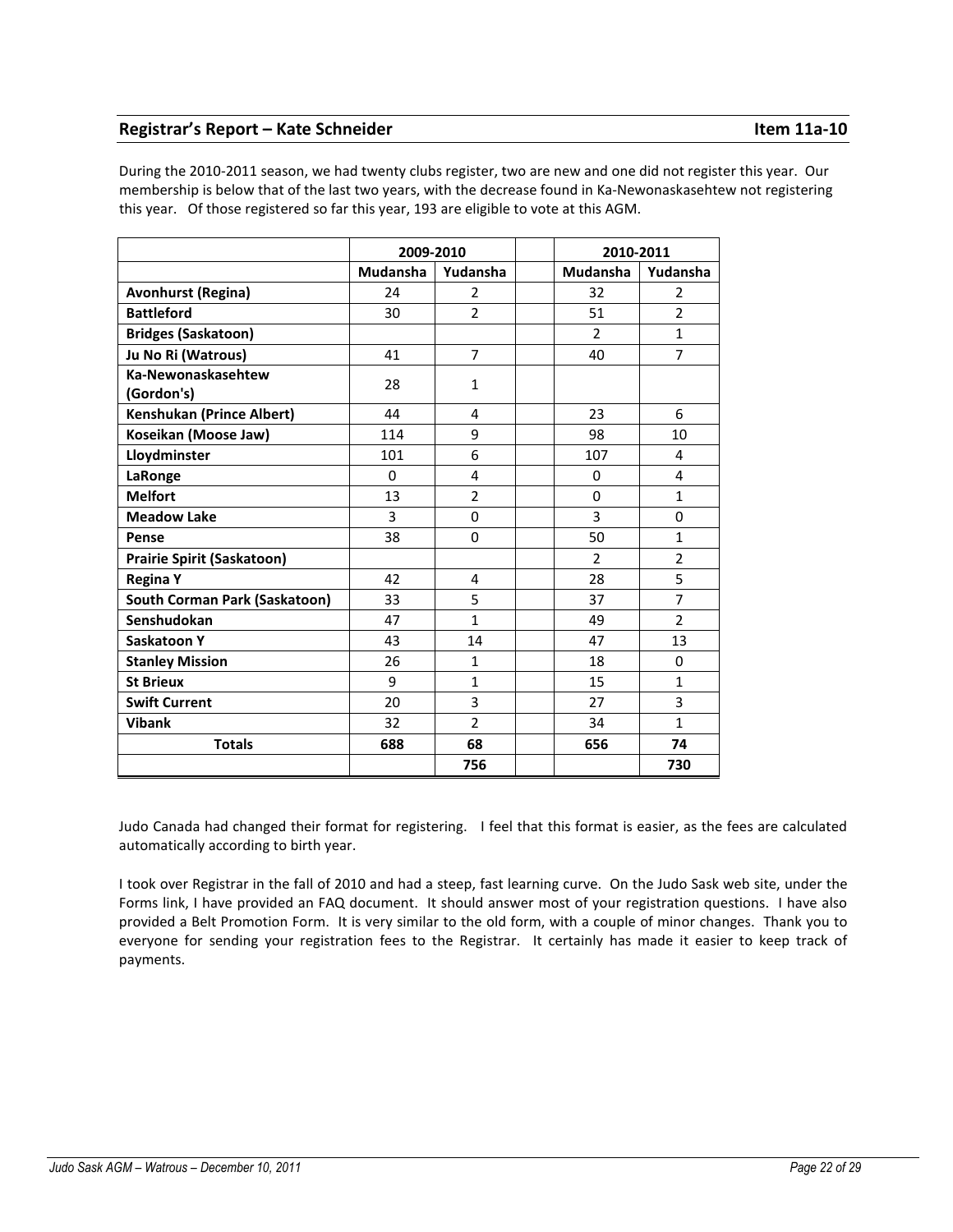# Registrar's Report – Kate Schneider **Item 11a-10**

During the 2010-2011 season, we had twenty clubs register, two are new and one did not register this year. Our membership is below that of the last two years, with the decrease found in Ka-Newonaskasehtew not registering this year. Of those registered so far this year, 193 are eligible to vote at this AGM.

|                                      | 2009-2010 |                | 2010-2011      |                |
|--------------------------------------|-----------|----------------|----------------|----------------|
|                                      | Mudansha  | Yudansha       | Mudansha       | Yudansha       |
| <b>Avonhurst (Regina)</b>            | 24        | 2              | 32             | 2              |
| <b>Battleford</b>                    | 30        | $\overline{2}$ | 51             | $\overline{2}$ |
| <b>Bridges (Saskatoon)</b>           |           |                | $\overline{2}$ | $\mathbf{1}$   |
| Ju No Ri (Watrous)                   | 41        | 7              | 40             | $\overline{7}$ |
| Ka-Newonaskasehtew<br>(Gordon's)     | 28        | 1              |                |                |
| <b>Kenshukan (Prince Albert)</b>     | 44        | 4              | 23             | 6              |
| Koseikan (Moose Jaw)                 | 114       | 9              | 98             | 10             |
| Lloydminster                         | 101       | 6              | 107            | 4              |
| LaRonge                              | $\Omega$  | 4              | $\Omega$       | 4              |
| <b>Melfort</b>                       | 13        | $\overline{2}$ | $\Omega$       | $\mathbf{1}$   |
| <b>Meadow Lake</b>                   | 3         | 0              | 3              | $\Omega$       |
| Pense                                | 38        | $\Omega$       | 50             | $\mathbf{1}$   |
| <b>Prairie Spirit (Saskatoon)</b>    |           |                | $\overline{2}$ | $\overline{2}$ |
| <b>Regina Y</b>                      | 42        | 4              | 28             | 5              |
| <b>South Corman Park (Saskatoon)</b> | 33        | 5              | 37             | $\overline{7}$ |
| Senshudokan                          | 47        | $\mathbf{1}$   | 49             | $\overline{2}$ |
| Saskatoon Y                          | 43        | 14             | 47             | 13             |
| <b>Stanley Mission</b>               | 26        | $\mathbf{1}$   | 18             | $\Omega$       |
| <b>St Brieux</b>                     | 9         | $\mathbf{1}$   | 15             | $\mathbf{1}$   |
| <b>Swift Current</b>                 | 20        | 3              | 27             | 3              |
| <b>Vibank</b>                        | 32        | $\overline{2}$ | 34             | $\mathbf{1}$   |
| <b>Totals</b>                        | 688       | 68             | 656            | 74             |
|                                      |           | 756            |                | 730            |

Judo Canada had changed their format for registering. I feel that this format is easier, as the fees are calculated automatically according to birth year.

I took over Registrar in the fall of 2010 and had a steep, fast learning curve. On the Judo Sask web site, under the Forms link, I have provided an FAQ document. It should answer most of your registration questions. I have also provided a Belt Promotion Form. It is very similar to the old form, with a couple of minor changes. Thank you to everyone for sending your registration fees to the Registrar. It certainly has made it easier to keep track of payments.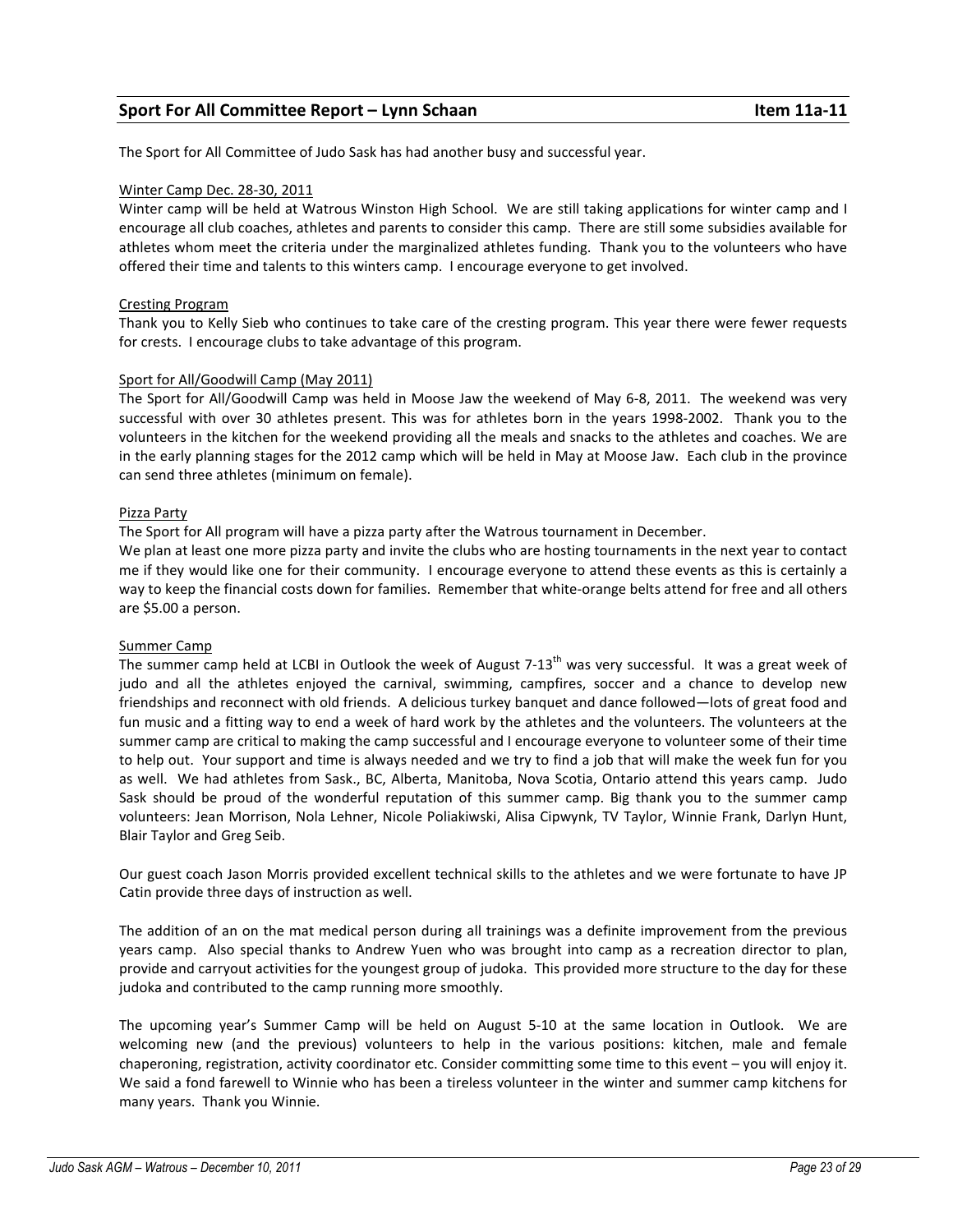# Sport For All Committee Report – Lynn Schaan Item 11a-11

The Sport for All Committee of Judo Sask has had another busy and successful year.

### Winter Camp Dec. 28-30, 2011

Winter camp will be held at Watrous Winston High School. We are still taking applications for winter camp and I encourage all club coaches, athletes and parents to consider this camp. There are still some subsidies available for athletes whom meet the criteria under the marginalized athletes funding. Thank you to the volunteers who have offered their time and talents to this winters camp. I encourage everyone to get involved.

### Cresting Program

Thank you to Kelly Sieb who continues to take care of the cresting program. This year there were fewer requests for crests. I encourage clubs to take advantage of this program.

### Sport for All/Goodwill Camp (May 2011)

The Sport for All/Goodwill Camp was held in Moose Jaw the weekend of May 6-8, 2011. The weekend was very successful with over 30 athletes present. This was for athletes born in the years 1998-2002. Thank you to the volunteers in the kitchen for the weekend providing all the meals and snacks to the athletes and coaches. We are in the early planning stages for the 2012 camp which will be held in May at Moose Jaw. Each club in the province can send three athletes (minimum on female).

### Pizza Party

The Sport for All program will have a pizza party after the Watrous tournament in December.

We plan at least one more pizza party and invite the clubs who are hosting tournaments in the next year to contact me if they would like one for their community. I encourage everyone to attend these events as this is certainly a way to keep the financial costs down for families. Remember that white-orange belts attend for free and all others are \$5.00 a person.

### Summer Camp

The summer camp held at LCBI in Outlook the week of August  $7-13<sup>th</sup>$  was very successful. It was a great week of judo and all the athletes enjoyed the carnival, swimming, campfires, soccer and a chance to develop new friendships and reconnect with old friends. A delicious turkey banquet and dance followed—lots of great food and fun music and a fitting way to end a week of hard work by the athletes and the volunteers. The volunteers at the summer camp are critical to making the camp successful and I encourage everyone to volunteer some of their time to help out. Your support and time is always needed and we try to find a job that will make the week fun for you as well. We had athletes from Sask., BC, Alberta, Manitoba, Nova Scotia, Ontario attend this years camp. Judo Sask should be proud of the wonderful reputation of this summer camp. Big thank you to the summer camp volunteers: Jean Morrison, Nola Lehner, Nicole Poliakiwski, Alisa Cipwynk, TV Taylor, Winnie Frank, Darlyn Hunt, Blair Taylor and Greg Seib.

Our guest coach Jason Morris provided excellent technical skills to the athletes and we were fortunate to have JP Catin provide three days of instruction as well.

The addition of an on the mat medical person during all trainings was a definite improvement from the previous years camp. Also special thanks to Andrew Yuen who was brought into camp as a recreation director to plan, provide and carryout activities for the youngest group of judoka. This provided more structure to the day for these judoka and contributed to the camp running more smoothly.

The upcoming year's Summer Camp will be held on August 5-10 at the same location in Outlook. We are welcoming new (and the previous) volunteers to help in the various positions: kitchen, male and female chaperoning, registration, activity coordinator etc. Consider committing some time to this event – you will enjoy it. We said a fond farewell to Winnie who has been a tireless volunteer in the winter and summer camp kitchens for many years. Thank you Winnie.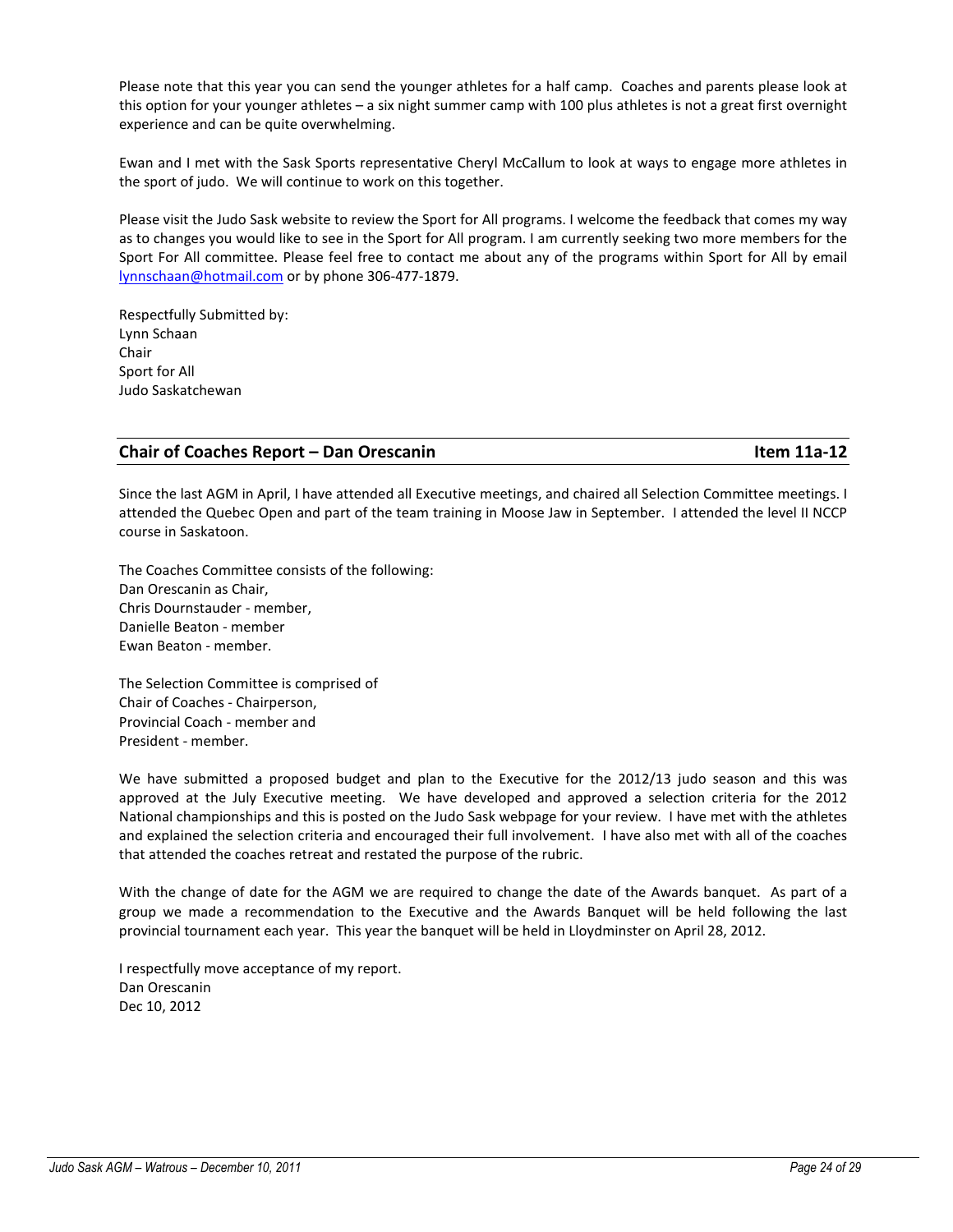Please note that this year you can send the younger athletes for a half camp. Coaches and parents please look at this option for your younger athletes – a six night summer camp with 100 plus athletes is not a great first overnight experience and can be quite overwhelming.

Ewan and I met with the Sask Sports representative Cheryl McCallum to look at ways to engage more athletes in the sport of judo. We will continue to work on this together.

Please visit the Judo Sask website to review the Sport for All programs. I welcome the feedback that comes my way as to changes you would like to see in the Sport for All program. I am currently seeking two more members for the Sport For All committee. Please feel free to contact me about any of the programs within Sport for All by email lynnschaan@hotmail.com or by phone 306-477-1879.

Respectfully Submitted by: Lynn Schaan Chair Sport for All Judo Saskatchewan

# Chair of Coaches Report – Dan Orescanin **Item 11a-12** and Item 11a-12

Since the last AGM in April, I have attended all Executive meetings, and chaired all Selection Committee meetings. I attended the Quebec Open and part of the team training in Moose Jaw in September. I attended the level II NCCP course in Saskatoon.

The Coaches Committee consists of the following: Dan Orescanin as Chair, Chris Dournstauder - member, Danielle Beaton - member Ewan Beaton - member.

The Selection Committee is comprised of Chair of Coaches - Chairperson, Provincial Coach - member and President - member.

We have submitted a proposed budget and plan to the Executive for the 2012/13 judo season and this was approved at the July Executive meeting. We have developed and approved a selection criteria for the 2012 National championships and this is posted on the Judo Sask webpage for your review. I have met with the athletes and explained the selection criteria and encouraged their full involvement. I have also met with all of the coaches that attended the coaches retreat and restated the purpose of the rubric.

With the change of date for the AGM we are required to change the date of the Awards banquet. As part of a group we made a recommendation to the Executive and the Awards Banquet will be held following the last provincial tournament each year. This year the banquet will be held in Lloydminster on April 28, 2012.

I respectfully move acceptance of my report. Dan Orescanin Dec 10, 2012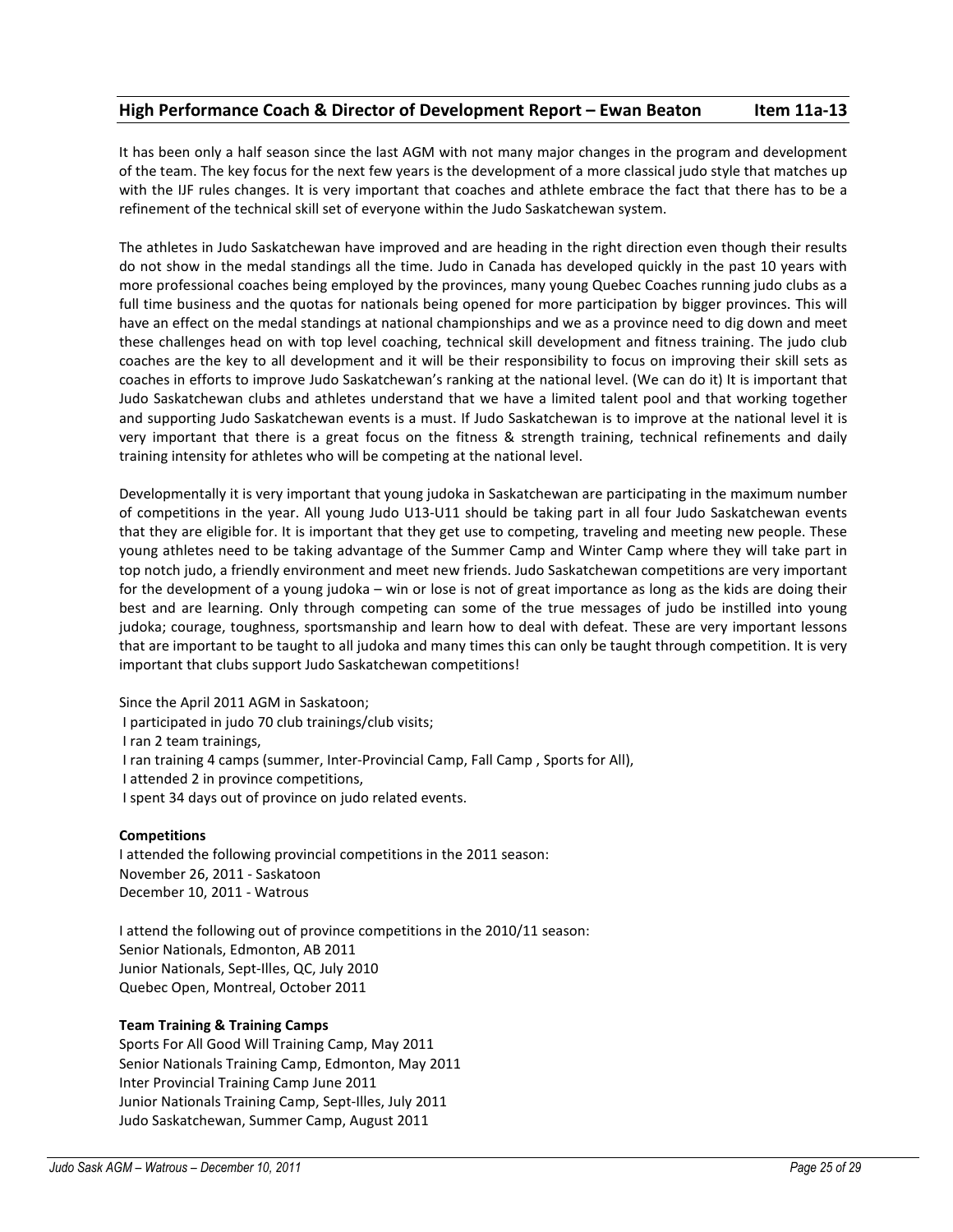# High Performance Coach & Director of Development Report – Ewan Beaton Item 11a-13

It has been only a half season since the last AGM with not many major changes in the program and development of the team. The key focus for the next few years is the development of a more classical judo style that matches up with the IJF rules changes. It is very important that coaches and athlete embrace the fact that there has to be a refinement of the technical skill set of everyone within the Judo Saskatchewan system.

The athletes in Judo Saskatchewan have improved and are heading in the right direction even though their results do not show in the medal standings all the time. Judo in Canada has developed quickly in the past 10 years with more professional coaches being employed by the provinces, many young Quebec Coaches running judo clubs as a full time business and the quotas for nationals being opened for more participation by bigger provinces. This will have an effect on the medal standings at national championships and we as a province need to dig down and meet these challenges head on with top level coaching, technical skill development and fitness training. The judo club coaches are the key to all development and it will be their responsibility to focus on improving their skill sets as coaches in efforts to improve Judo Saskatchewan's ranking at the national level. (We can do it) It is important that Judo Saskatchewan clubs and athletes understand that we have a limited talent pool and that working together and supporting Judo Saskatchewan events is a must. If Judo Saskatchewan is to improve at the national level it is very important that there is a great focus on the fitness & strength training, technical refinements and daily training intensity for athletes who will be competing at the national level.

Developmentally it is very important that young judoka in Saskatchewan are participating in the maximum number of competitions in the year. All young Judo U13-U11 should be taking part in all four Judo Saskatchewan events that they are eligible for. It is important that they get use to competing, traveling and meeting new people. These young athletes need to be taking advantage of the Summer Camp and Winter Camp where they will take part in top notch judo, a friendly environment and meet new friends. Judo Saskatchewan competitions are very important for the development of a young judoka – win or lose is not of great importance as long as the kids are doing their best and are learning. Only through competing can some of the true messages of judo be instilled into young judoka; courage, toughness, sportsmanship and learn how to deal with defeat. These are very important lessons that are important to be taught to all judoka and many times this can only be taught through competition. It is very important that clubs support Judo Saskatchewan competitions!

Since the April 2011 AGM in Saskatoon; I participated in judo 70 club trainings/club visits; I ran 2 team trainings, I ran training 4 camps (summer, Inter-Provincial Camp, Fall Camp , Sports for All), I attended 2 in province competitions, I spent 34 days out of province on judo related events.

### Competitions

I attended the following provincial competitions in the 2011 season: November 26, 2011 - Saskatoon December 10, 2011 - Watrous

I attend the following out of province competitions in the 2010/11 season: Senior Nationals, Edmonton, AB 2011 Junior Nationals, Sept-Illes, QC, July 2010 Quebec Open, Montreal, October 2011

### Team Training & Training Camps

Sports For All Good Will Training Camp, May 2011 Senior Nationals Training Camp, Edmonton, May 2011 Inter Provincial Training Camp June 2011 Junior Nationals Training Camp, Sept-Illes, July 2011 Judo Saskatchewan, Summer Camp, August 2011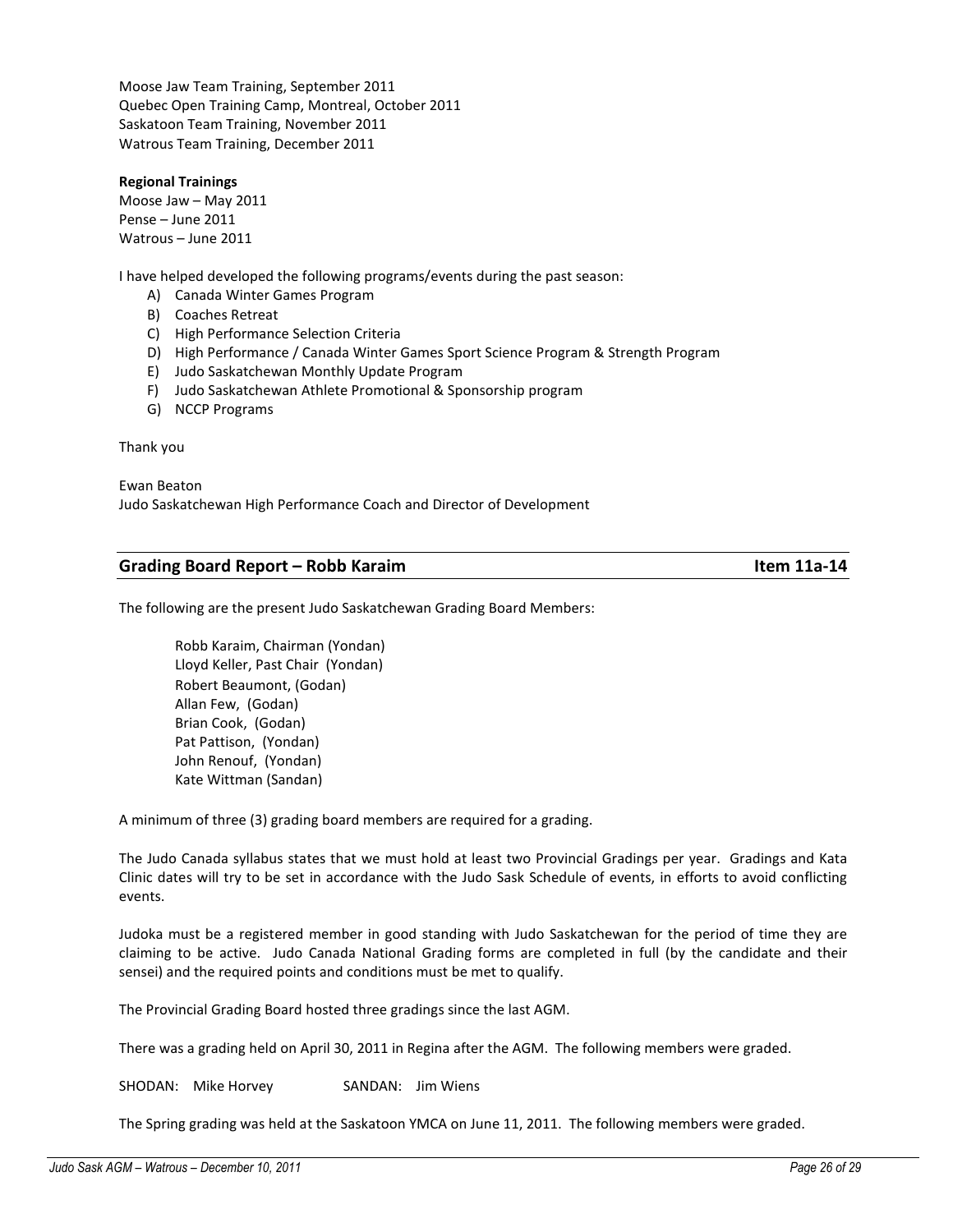Moose Jaw Team Training, September 2011 Quebec Open Training Camp, Montreal, October 2011 Saskatoon Team Training, November 2011 Watrous Team Training, December 2011

### Regional Trainings

Moose Jaw – May 2011 Pense – June 2011 Watrous – June 2011

I have helped developed the following programs/events during the past season:

- A) Canada Winter Games Program
- B) Coaches Retreat
- C) High Performance Selection Criteria
- D) High Performance / Canada Winter Games Sport Science Program & Strength Program
- E) Judo Saskatchewan Monthly Update Program
- F) Judo Saskatchewan Athlete Promotional & Sponsorship program
- G) NCCP Programs

### Thank you

Ewan Beaton Judo Saskatchewan High Performance Coach and Director of Development

### Grading Board Report – Robb Karaim **Item 11a-14** Item 11a-14

The following are the present Judo Saskatchewan Grading Board Members:

Robb Karaim, Chairman (Yondan) Lloyd Keller, Past Chair (Yondan) Robert Beaumont, (Godan) Allan Few, (Godan) Brian Cook, (Godan) Pat Pattison, (Yondan) John Renouf, (Yondan) Kate Wittman (Sandan)

A minimum of three (3) grading board members are required for a grading.

The Judo Canada syllabus states that we must hold at least two Provincial Gradings per year. Gradings and Kata Clinic dates will try to be set in accordance with the Judo Sask Schedule of events, in efforts to avoid conflicting events.

Judoka must be a registered member in good standing with Judo Saskatchewan for the period of time they are claiming to be active. Judo Canada National Grading forms are completed in full (by the candidate and their sensei) and the required points and conditions must be met to qualify.

The Provincial Grading Board hosted three gradings since the last AGM.

There was a grading held on April 30, 2011 in Regina after the AGM. The following members were graded.

SHODAN: Mike Horvey SANDAN: Jim Wiens

The Spring grading was held at the Saskatoon YMCA on June 11, 2011. The following members were graded.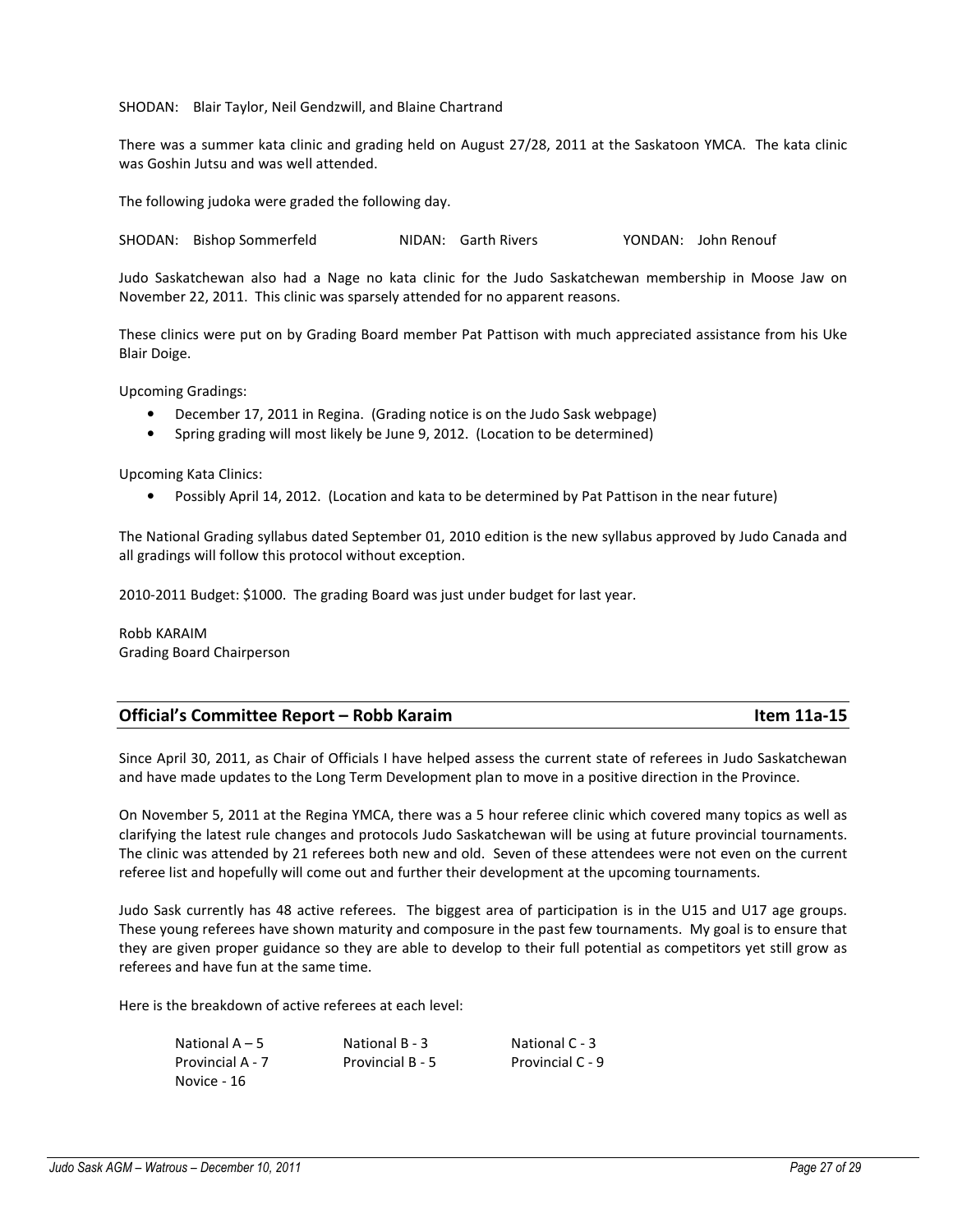SHODAN: Blair Taylor, Neil Gendzwill, and Blaine Chartrand

There was a summer kata clinic and grading held on August 27/28, 2011 at the Saskatoon YMCA. The kata clinic was Goshin Jutsu and was well attended.

The following judoka were graded the following day.

SHODAN: Bishop Sommerfeld NIDAN: Garth Rivers YONDAN: John Renouf

Judo Saskatchewan also had a Nage no kata clinic for the Judo Saskatchewan membership in Moose Jaw on November 22, 2011. This clinic was sparsely attended for no apparent reasons.

These clinics were put on by Grading Board member Pat Pattison with much appreciated assistance from his Uke Blair Doige.

Upcoming Gradings:

- December 17, 2011 in Regina. (Grading notice is on the Judo Sask webpage)
- Spring grading will most likely be June 9, 2012. (Location to be determined)

Upcoming Kata Clinics:

• Possibly April 14, 2012. (Location and kata to be determined by Pat Pattison in the near future)

The National Grading syllabus dated September 01, 2010 edition is the new syllabus approved by Judo Canada and all gradings will follow this protocol without exception.

2010-2011 Budget: \$1000. The grading Board was just under budget for last year.

Robb KARAIM Grading Board Chairperson

| Item 11a-15 |
|-------------|
|             |

Since April 30, 2011, as Chair of Officials I have helped assess the current state of referees in Judo Saskatchewan and have made updates to the Long Term Development plan to move in a positive direction in the Province.

On November 5, 2011 at the Regina YMCA, there was a 5 hour referee clinic which covered many topics as well as clarifying the latest rule changes and protocols Judo Saskatchewan will be using at future provincial tournaments. The clinic was attended by 21 referees both new and old. Seven of these attendees were not even on the current referee list and hopefully will come out and further their development at the upcoming tournaments.

Judo Sask currently has 48 active referees. The biggest area of participation is in the U15 and U17 age groups. These young referees have shown maturity and composure in the past few tournaments. My goal is to ensure that they are given proper guidance so they are able to develop to their full potential as competitors yet still grow as referees and have fun at the same time.

Here is the breakdown of active referees at each level:

| National $A - 5$ | National B - 3   | National C - 3   |
|------------------|------------------|------------------|
| Provincial A - 7 | Provincial B - 5 | Provincial C - 9 |
| Novice - 16      |                  |                  |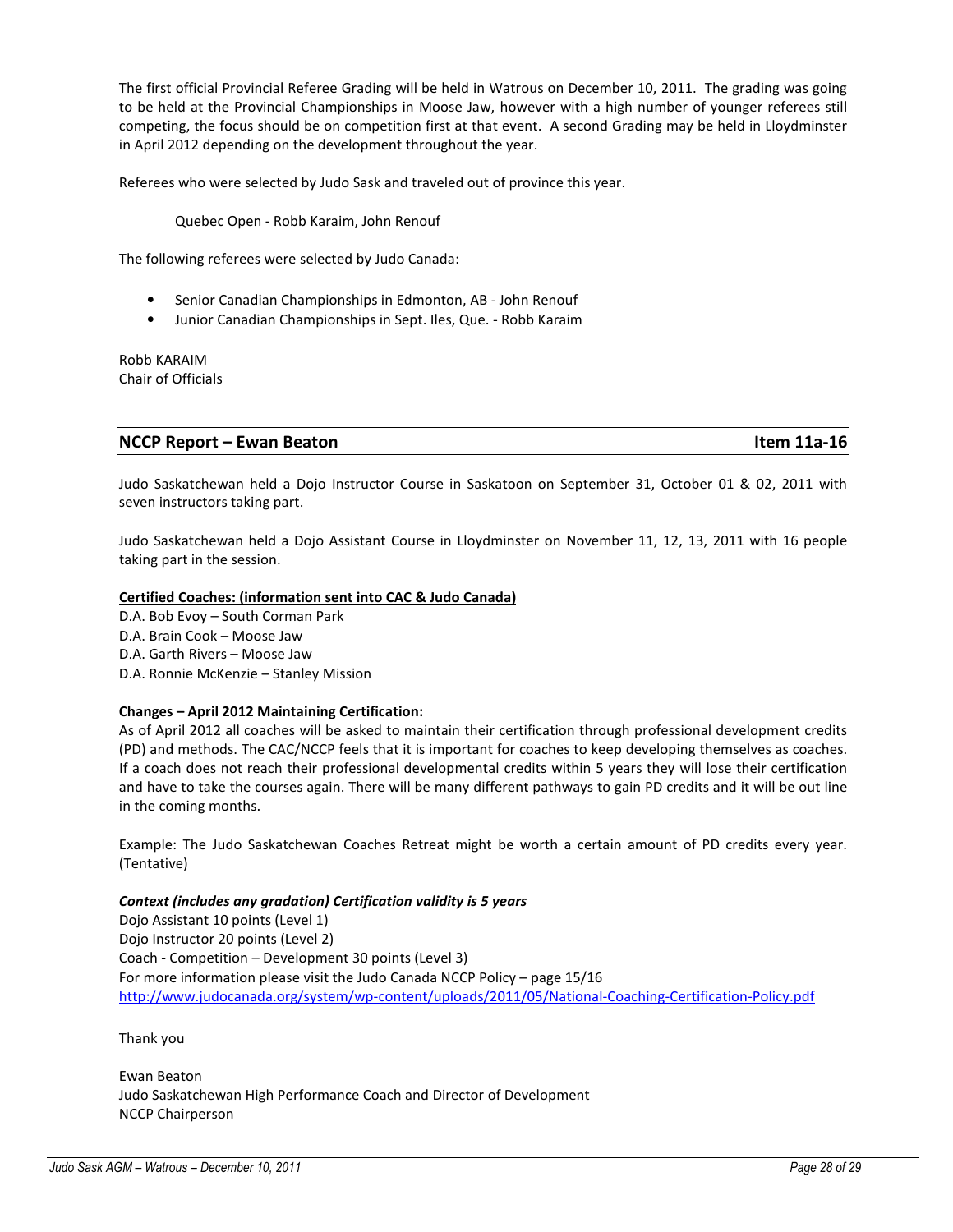The first official Provincial Referee Grading will be held in Watrous on December 10, 2011. The grading was going to be held at the Provincial Championships in Moose Jaw, however with a high number of younger referees still competing, the focus should be on competition first at that event. A second Grading may be held in Lloydminster in April 2012 depending on the development throughout the year.

Referees who were selected by Judo Sask and traveled out of province this year.

Quebec Open - Robb Karaim, John Renouf

The following referees were selected by Judo Canada:

- Senior Canadian Championships in Edmonton, AB John Renouf
- Junior Canadian Championships in Sept. Iles, Que. Robb Karaim

Robb KARAIM Chair of Officials

### NCCP Report – Ewan Beaton Item 11a-16

Judo Saskatchewan held a Dojo Instructor Course in Saskatoon on September 31, October 01 & 02, 2011 with seven instructors taking part.

Judo Saskatchewan held a Dojo Assistant Course in Lloydminster on November 11, 12, 13, 2011 with 16 people taking part in the session.

### Certified Coaches: (information sent into CAC & Judo Canada)

D.A. Bob Evoy – South Corman Park D.A. Brain Cook – Moose Jaw D.A. Garth Rivers – Moose Jaw D.A. Ronnie McKenzie – Stanley Mission

### Changes – April 2012 Maintaining Certification:

As of April 2012 all coaches will be asked to maintain their certification through professional development credits (PD) and methods. The CAC/NCCP feels that it is important for coaches to keep developing themselves as coaches. If a coach does not reach their professional developmental credits within 5 years they will lose their certification and have to take the courses again. There will be many different pathways to gain PD credits and it will be out line in the coming months.

Example: The Judo Saskatchewan Coaches Retreat might be worth a certain amount of PD credits every year. (Tentative)

### Context (includes any gradation) Certification validity is 5 years

Dojo Assistant 10 points (Level 1) Dojo Instructor 20 points (Level 2) Coach - Competition – Development 30 points (Level 3) For more information please visit the Judo Canada NCCP Policy – page 15/16 http://www.judocanada.org/system/wp-content/uploads/2011/05/National-Coaching-Certification-Policy.pdf

Thank you

Ewan Beaton Judo Saskatchewan High Performance Coach and Director of Development NCCP Chairperson